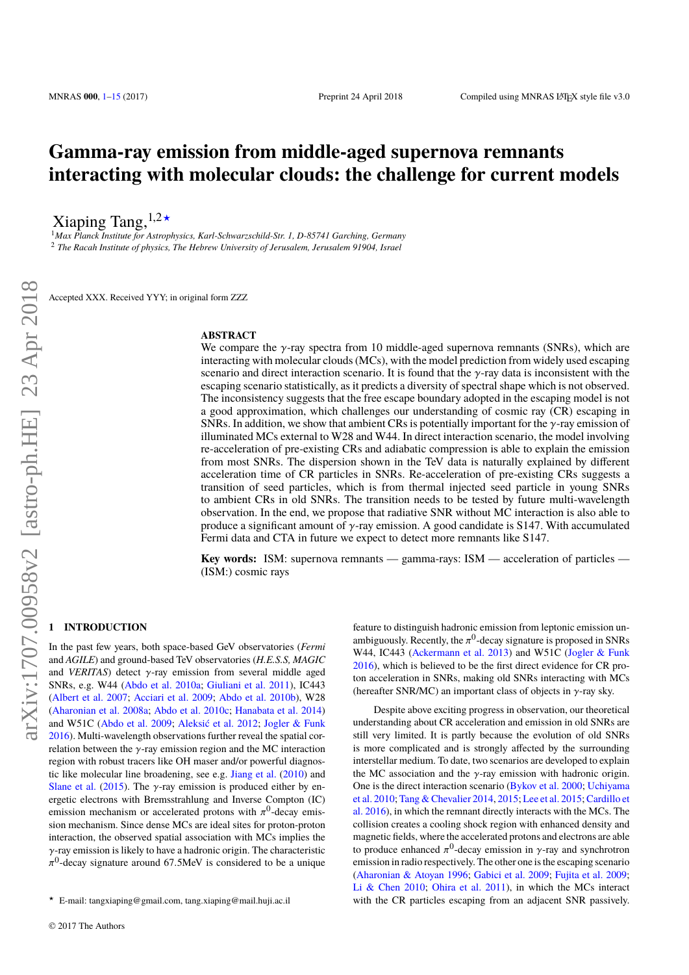# **Gamma-ray emission from middle-aged supernova remnants interacting with molecular clouds: the challenge for current models**

Xiaping Tang,  $1,2*$ 

<sup>1</sup>*Max Planck Institute for Astrophysics, Karl-Schwarzschild-Str. 1, D-85741 Garching, Germany* <sup>2</sup> *The Racah Institute of physics, The Hebrew University of Jerusalem, Jerusalem 91904, Israel*

Accepted XXX. Received YYY; in original form ZZZ

### **ABSTRACT**

We compare the  $\gamma$ -ray spectra from 10 middle-aged supernova remnants (SNRs), which are interacting with molecular clouds (MCs), with the model prediction from widely used escaping scenario and direct interaction scenario. It is found that the  $\gamma$ -ray data is inconsistent with the escaping scenario statistically, as it predicts a diversity of spectral shape which is not observed. The inconsistency suggests that the free escape boundary adopted in the escaping model is not a good approximation, which challenges our understanding of cosmic ray (CR) escaping in SNRs. In addition, we show that ambient CRs is potentially important for the  $\gamma$ -ray emission of illuminated MCs external to W28 and W44. In direct interaction scenario, the model involving re-acceleration of pre-existing CRs and adiabatic compression is able to explain the emission from most SNRs. The dispersion shown in the TeV data is naturally explained by different acceleration time of CR particles in SNRs. Re-acceleration of pre-existing CRs suggests a transition of seed particles, which is from thermal injected seed particle in young SNRs to ambient CRs in old SNRs. The transition needs to be tested by future multi-wavelength observation. In the end, we propose that radiative SNR without MC interaction is also able to produce a significant amount of  $\gamma$ -ray emission. A good candidate is S147. With accumulated Fermi data and CTA in future we expect to detect more remnants like S147.

**Key words:** ISM: supernova remnants — gamma-rays: ISM — acceleration of particles — (ISM:) cosmic rays

## <span id="page-0-0"></span>**1 INTRODUCTION**

In the past few years, both space-based GeV observatories (*Fermi* and *AGILE*) and ground-based TeV observatories (*H.E.S.S, MAGIC* and *VERITAS*) detect γ-ray emission from several middle aged SNRs, e.g. W44 [\(Abdo et al.](#page-12-0) [2010a;](#page-12-0) [Giuliani et al.](#page-12-1) [2011\)](#page-12-1), IC443 [\(Albert et al.](#page-12-2) [2007;](#page-12-2) [Acciari et al.](#page-12-3) [2009;](#page-12-3) [Abdo et al.](#page-12-4) [2010b\)](#page-12-4), W28 [\(Aharonian et al.](#page-12-5) [2008a;](#page-12-5) [Abdo et al.](#page-12-6) [2010c;](#page-12-6) [Hanabata et al.](#page-12-7) [2014\)](#page-12-7) and W51C [\(Abdo et al.](#page-12-8) [2009;](#page-12-8) [Aleksić et al.](#page-12-9) [2012;](#page-12-9) [Jogler & Funk](#page-12-10) [2016\)](#page-12-10). Multi-wavelength observations further reveal the spatial correlation between the γ-ray emission region and the MC interaction region with robust tracers like OH maser and/or powerful diagnostic like molecular line broadening, see e.g. [Jiang et al.](#page-12-11) [\(2010\)](#page-12-11) and [Slane et al.](#page-12-12) [\(2015\)](#page-12-12). The  $\gamma$ -ray emission is produced either by energetic electrons with Bremsstrahlung and Inverse Compton (IC) emission mechanism or accelerated protons with  $\pi^0$ -decay emis-<br>sion mechanism. Since dense MCs are ideal sites for proton-proton sion mechanism. Since dense MCs are ideal sites for proton-proton interaction, the observed spatial association with MCs implies the  $\gamma$ -ray emission is likely to have a hadronic origin. The characteristic 0 -decay signature around <sup>67</sup>.5MeV is considered to be a unique

feature to distinguish hadronic emission from leptonic emission unambiguously. Recently, the  $\pi^0$ -decay signature is proposed in SNRs<br>W<sub>44</sub> JC443 (Ackermann et al. 2013) and W51C (Jogler & Euple W44, IC443 [\(Ackermann et al.](#page-12-13) [2013\)](#page-12-13) and W51C [\(Jogler & Funk](#page-12-10) [2016\)](#page-12-10), which is believed to be the first direct evidence for CR proton acceleration in SNRs, making old SNRs interacting with MCs (hereafter SNR/MC) an important class of objects in  $\gamma$ -ray sky.

Despite above exciting progress in observation, our theoretical understanding about CR acceleration and emission in old SNRs are still very limited. It is partly because the evolution of old SNRs is more complicated and is strongly affected by the surrounding interstellar medium. To date, two scenarios are developed to explain the MC association and the  $\gamma$ -ray emission with hadronic origin. One is the direct interaction scenario [\(Bykov et al.](#page-12-14) [2000;](#page-12-14) [Uchiyama](#page-12-15) [et al.](#page-12-15) [2010;](#page-12-15) [Tang & Chevalier](#page-12-16) [2014,](#page-12-16) [2015;](#page-12-18) [Lee et al.](#page-12-18) 2015; [Cardillo et](#page-12-19) [al.](#page-12-19) [2016\)](#page-12-19), in which the remnant directly interacts with the MCs. The collision creates a cooling shock region with enhanced density and magnetic fields, where the accelerated protons and electrons are able to produce enhanced  $\pi^0$ -decay emission in  $\gamma$ -ray and synchrotron<br>emission in radio respectively. The other one is the escaping scenario emission in radio respectively. The other one is the escaping scenario [\(Aharonian & Atoyan](#page-12-20) [1996;](#page-12-20) [Gabici et al.](#page-12-21) [2009;](#page-12-21) [Fujita et al.](#page-12-22) [2009;](#page-12-22) [Li & Chen](#page-12-23) [2010;](#page-12-23) [Ohira et al.](#page-12-24) [2011\)](#page-12-24), in which the MCs interact with the CR particles escaping from an adjacent SNR passively.

 $\star$  E-mail: tangxiaping@gmail.com, tang.xiaping@mail.huji.ac.il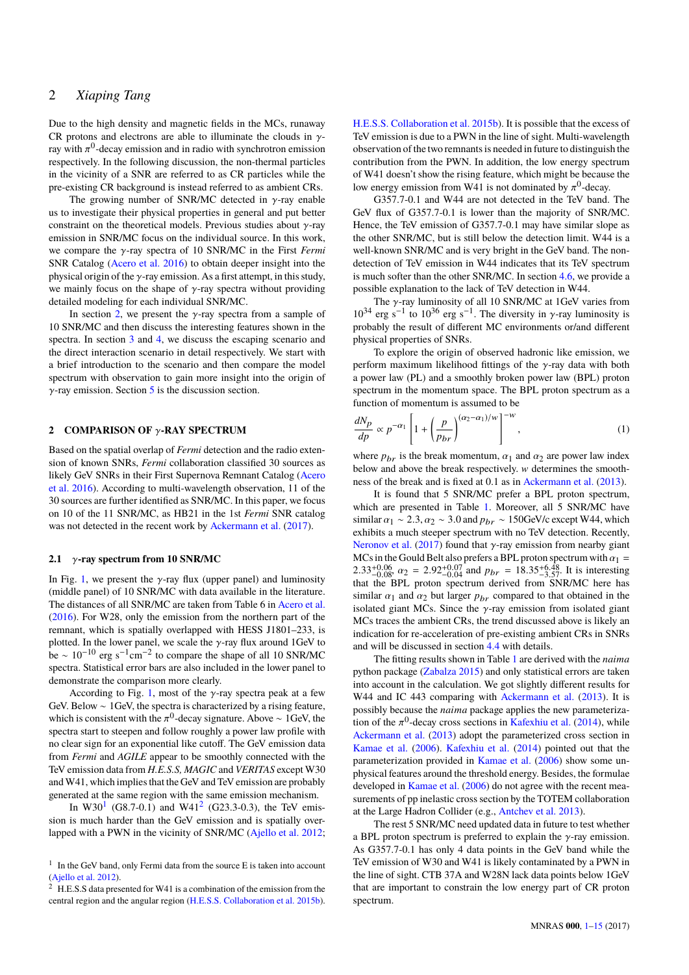Due to the high density and magnetic fields in the MCs, runaway CR protons and electrons are able to illuminate the clouds in  $\gamma$ ray with  $\pi^0$ -decay emission and in radio with synchrotron emission<br>respectively. In the following discussion, the non-thermal particles respectively. In the following discussion, the non-thermal particles in the vicinity of a SNR are referred to as CR particles while the pre-existing CR background is instead referred to as ambient CRs.

The growing number of SNR/MC detected in  $\gamma$ -ray enable us to investigate their physical properties in general and put better constraint on the theoretical models. Previous studies about  $\gamma$ -ray emission in SNR/MC focus on the individual source. In this work, we compare the γ-ray spectra of 10 SNR/MC in the First *Fermi* SNR Catalog [\(Acero et al.](#page-12-25) [2016\)](#page-12-25) to obtain deeper insight into the physical origin of the  $\gamma$ -ray emission. As a first attempt, in this study, we mainly focus on the shape of  $\gamma$ -ray spectra without providing detailed modeling for each individual SNR/MC.

In section [2,](#page-1-0) we present the  $\gamma$ -ray spectra from a sample of 10 SNR/MC and then discuss the interesting features shown in the spectra. In section [3](#page-3-0) and [4,](#page-6-0) we discuss the escaping scenario and the direct interaction scenario in detail respectively. We start with a brief introduction to the scenario and then compare the model spectrum with observation to gain more insight into the origin of  $\gamma$ -ray emission. Section [5](#page-11-0) is the discussion section.

#### <span id="page-1-0"></span>**2 COMPARISON OF** γ**-RAY SPECTRUM**

Based on the spatial overlap of *Fermi* detection and the radio extension of known SNRs, *Fermi* collaboration classified 30 sources as likely GeV SNRs in their First Supernova Remnant Catalog [\(Acero](#page-12-25) [et al.](#page-12-25) [2016\)](#page-12-25). According to multi-wavelength observation, 11 of the 30 sources are further identified as SNR/MC. In this paper, we focus on 10 of the 11 SNR/MC, as HB21 in the 1st *Fermi* SNR catalog was not detected in the recent work by [Ackermann et al.](#page-12-26) [\(2017\)](#page-12-26).

#### <span id="page-1-3"></span>**2.1** γ**-ray spectrum from 10 SNR/MC**

In Fig. [1,](#page-2-0) we present the  $\gamma$ -ray flux (upper panel) and luminosity (middle panel) of 10 SNR/MC with data available in the literature. The distances of all SNR/MC are taken from Table 6 in [Acero et al.](#page-12-25) [\(2016\)](#page-12-25). For W28, only the emission from the northern part of the remnant, which is spatially overlapped with HESS J1801–233, is plotted. In the lower panel, we scale the  $\gamma$ -ray flux around 1GeV to be ~  $10^{-10}$  erg s<sup>-1</sup>cm<sup>-2</sup> to compare the shape of all 10 SNR/MC spectra. Statistical error bars are also included in the lower panel to demonstrate the comparison more clearly.

According to Fig. [1,](#page-2-0) most of the  $\gamma$ -ray spectra peak at a few GeV. Below ∼ 1GeV, the spectra is characterized by a rising feature, which is consistent with the  $\pi^0$ -decay signature. Above ∼ 1GeV, the spectra start to steepen and follow roughly a power law profile with spectra start to steepen and follow roughly a power law profile with no clear sign for an exponential like cutoff. The GeV emission data from *Fermi* and *AGILE* appear to be smoothly connected with the TeV emission data from *H.E.S.S, MAGIC* and *VERITAS* except W30 and W41, which implies that the GeV and TeV emission are probably generated at the same region with the same emission mechanism.

In W30<sup>[1](#page-1-1)</sup> (G8.7-0.1) and W41<sup>[2](#page-1-2)</sup> (G23.3-0.3), the TeV emission is much harder than the GeV emission and is spatially overlapped with a PWN in the vicinity of SNR/MC [\(Ajello et al.](#page-12-27) [2012;](#page-12-27)

[H.E.S.S. Collaboration et al.](#page-12-28) [2015b\)](#page-12-28). It is possible that the excess of TeV emission is due to a PWN in the line of sight. Multi-wavelength observation of the two remnants is needed in future to distinguish the contribution from the PWN. In addition, the low energy spectrum of W41 doesn't show the rising feature, which might be because the low energy emission from W41 is not dominated by  $\pi^0$ -decay.<br>  $G3577-0.1$  and W44 are not detected in the TeV band.

G357.7-0.1 and W44 are not detected in the TeV band. The GeV flux of G357.7-0.1 is lower than the majority of SNR/MC. Hence, the TeV emission of G357.7-0.1 may have similar slope as the other SNR/MC, but is still below the detection limit. W44 is a well-known SNR/MC and is very bright in the GeV band. The nondetection of TeV emission in W44 indicates that its TeV spectrum is much softer than the other SNR/MC. In section [4.6,](#page-10-0) we provide a possible explanation to the lack of TeV detection in W44.

The γ-ray luminosity of all 10 SNR/MC at 1GeV varies from<br>  $10^{34}$  erg s<sup>-1</sup> to  $10^{36}$  erg s<sup>-1</sup>. The diversity in γ-ray luminosity is<br>
probably the result of different MC environments or/and different probably the result of different MC environments or/and different physical properties of SNRs.

To explore the origin of observed hadronic like emission, we perform maximum likelihood fittings of the  $\gamma$ -ray data with both a power law (PL) and a smoothly broken power law (BPL) proton spectrum in the momentum space. The BPL proton spectrum as a function of momentum is assumed to be

$$
\frac{dN_p}{dp} \propto p^{-\alpha_1} \left[ 1 + \left( \frac{p}{p_{br}} \right)^{(\alpha_2 - \alpha_1)/w} \right]^{-w},\tag{1}
$$

where  $p_{br}$  is the break momentum,  $\alpha_1$  and  $\alpha_2$  are power law index below and above the break respectively. w determines the smoothness of the break and is fixed at 0.1 as in [Ackermann et al.](#page-12-13) [\(2013\)](#page-12-13).

It is found that 5 SNR/MC prefer a BPL proton spectrum, which are presented in Table [1.](#page-2-1) Moreover, all 5 SNR/MC have similar  $\alpha_1 \sim 2.3$ ,  $\alpha_2 \sim 3.0$  and  $p_{br} \sim 150$ GeV/c except W44, which exhibits a much steeper spectrum with no TeV detection. Recently, [Neronov et al.](#page-12-29) [\(2017\)](#page-12-29) found that γ-ray emission from nearby giant MCs in the Gould Belt also prefers a BPL proton spectrum with  $α_1$  = MCs in the Gould Belt also prefers a BPL proton spectrum with  $\alpha_1 = 2.33 \pm 0.06$  as  $\alpha_2 = 2.92 \pm 0.07$  and  $\alpha_1 = 18.35 \pm 0.48$  It is interesting  $2.33_{-0.08}^{+0.06}$   $\alpha_2 = 2.92_{-0.04}^{+0.07}$  and  $p_{br} = 18.35_{-3.57}^{+6.48}$ . It is interesting that the BPL proton spectrum derived from SNR/MC here has similar  $\alpha_1$  and  $\alpha_2$  but larger  $p_{br}$  compared to that obtained in the isolated giant MCs. Since the  $\gamma$ -ray emission from isolated giant MCs traces the ambient CRs, the trend discussed above is likely an indication for re-acceleration of pre-existing ambient CRs in SNRs and will be discussed in section [4.4](#page-9-0) with details.

The fitting results shown in Table [1](#page-2-1) are derived with the *naima* python package [\(Zabalza](#page-12-30) [2015\)](#page-12-30) and only statistical errors are taken into account in the calculation. We got slightly different results for W44 and IC 443 comparing with [Ackermann et al.](#page-12-13) [\(2013\)](#page-12-13). It is possibly because the *naima* package applies the new parameterization of the  $\pi^0$ -decay cross sections in [Kafexhiu et al.](#page-12-31) [\(2014\)](#page-12-31), while<br>Ackermann et al. (2013) adopt the parameterized cross section in [Ackermann et al.](#page-12-13) [\(2013\)](#page-12-13) adopt the parameterized cross section in [Kamae et al.](#page-12-32) [\(2006\)](#page-12-32). [Kafexhiu et al.](#page-12-31) [\(2014\)](#page-12-31) pointed out that the parameterization provided in [Kamae et al.](#page-12-32) [\(2006\)](#page-12-32) show some unphysical features around the threshold energy. Besides, the formulae developed in [Kamae et al.](#page-12-32) [\(2006\)](#page-12-32) do not agree with the recent measurements of pp inelastic cross section by the TOTEM collaboration at the Large Hadron Collider (e.g., [Antchev et al.](#page-12-33) [2013\)](#page-12-33).

The rest 5 SNR/MC need updated data in future to test whether a BPL proton spectrum is preferred to explain the  $\gamma$ -ray emission. As G357.7-0.1 has only 4 data points in the GeV band while the TeV emission of W30 and W41 is likely contaminated by a PWN in the line of sight. CTB 37A and W28N lack data points below 1GeV that are important to constrain the low energy part of CR proton spectrum.

<span id="page-1-1"></span><sup>&</sup>lt;sup>1</sup> In the GeV band, only Fermi data from the source E is taken into account [\(Ajello et al.](#page-12-27) [2012\)](#page-12-27).

<span id="page-1-2"></span><sup>&</sup>lt;sup>2</sup> H.E.S.S data presented for W41 is a combination of the emission from the central region and the angular region [\(H.E.S.S. Collaboration et al.](#page-12-28) [2015b\)](#page-12-28).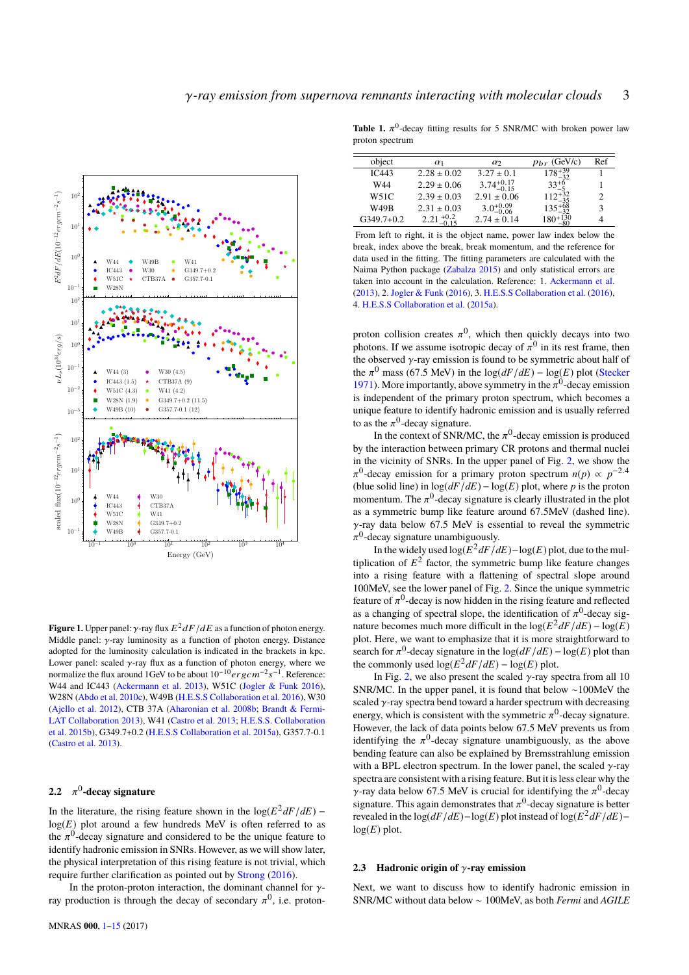

<span id="page-2-0"></span>**Figure 1.** Upper panel:  $\gamma$ -ray flux  $E^2 dF/dE$  as a function of photon energy.<br>Middle nanel:  $\alpha$  ray, luminosity as a function of photon energy. Distance Middle panel:  $\gamma$ -ray luminosity as a function of photon energy. Distance adopted for the luminosity calculation is indicated in the brackets in kpc. Lower panel: scaled  $\gamma$ -ray flux as a function of photon energy, where we normalize the flux around 1GeV to be about  $10^{-10} erg \, cm^{-2} s^{-1}$ . Reference: W44 and IC443 [\(Ackermann et al.](#page-12-13) [2013\)](#page-12-13), W51C [\(Jogler & Funk](#page-12-10) [2016\)](#page-12-10), W28N [\(Abdo et al.](#page-12-6) [2010c\)](#page-12-6), W49B [\(H.E.S.S Collaboration et al.](#page-12-34) [2016\)](#page-12-34), W30 [\(Ajello et al.](#page-12-27) [2012\)](#page-12-27), CTB 37A [\(Aharonian et al.](#page-12-35) [2008b;](#page-12-35) [Brandt & Fermi-](#page-12-36)[LAT Collaboration](#page-12-36) [2013\)](#page-12-36), W41 [\(Castro et al.](#page-12-37) [2013;](#page-12-37) [H.E.S.S. Collaboration](#page-12-28) [et al.](#page-12-28) [2015b\)](#page-12-28), G349.7+0.2 [\(H.E.S.S Collaboration et al.](#page-12-38) [2015a\)](#page-12-38), G357.7-0.1 [\(Castro et al.](#page-12-37) [2013\)](#page-12-37).

# **2.2** π 0 **-decay signature**

In the literature, the rising feature shown in the  $log(E^2 dF/dE)$  –  $log(E)$  plot around a few hundreds MeV is often referred to as the  $\pi^0$ -decay signature and considered to be the unique feature to identify hadronic emission in SNRs. However, as we will show later identify hadronic emission in SNRs. However, as we will show later, the physical interpretation of this rising feature is not trivial, which require further clarification as pointed out by [Strong](#page-12-39) [\(2016\)](#page-12-39).

In the proton-proton interaction, the dominant channel for  $\gamma$ ray production is through the decay of secondary  $\pi^0$ , i.e. proton-

<span id="page-2-1"></span>**Table 1.**  $\pi^0$ -decay fitting results for 5 SNR/MC with broken power law proton spectrum

| object                                                               | $\alpha_1$            | $\alpha$               | $p_{br}$ (GeV/c)                                        | Ref |  |  |
|----------------------------------------------------------------------|-----------------------|------------------------|---------------------------------------------------------|-----|--|--|
| IC443                                                                | $2.28 \pm 0.02$       | $3.27 \pm 0.1$         | $178^{+39}_{-32}$                                       |     |  |  |
| W44                                                                  | $2.29 \pm 0.06$       | $3.74^{+0.17}_{-0.15}$ |                                                         |     |  |  |
| W51C                                                                 | $2.39 \pm 0.03$       | $2.91 \pm 0.06$        | $33^{+6}_{-5}$ $112^{+32}_{-35}$                        | 2   |  |  |
| W49B                                                                 | $2.31 \pm 0.03$       | $3.0^{+0.09}_{-0.06}$  |                                                         | 3   |  |  |
| $G349.7+0.2$                                                         | $2.21_{-0.15}^{+0.2}$ | $2.74 \pm 0.14$        | $\substack{135^{+68}_{-32}\phantom{.}}180^{+130}_{-80}$ |     |  |  |
| From left to right, it is the object name, power law index below the |                       |                        |                                                         |     |  |  |

break, index above the break, break momentum, and the reference for data used in the fitting. The fitting parameters are calculated with the Naima Python package [\(Zabalza](#page-12-30) [2015\)](#page-12-30) and only statistical errors are taken into account in the calculation. Reference: 1. [Ackermann et al.](#page-12-13) [\(2013\)](#page-12-13), 2. [Jogler & Funk](#page-12-10) [\(2016\)](#page-12-10), 3. [H.E.S.S Collaboration et al.](#page-12-34) [\(2016\)](#page-12-34), 4. [H.E.S.S Collaboration et al.](#page-12-38) [\(2015a\)](#page-12-38).

proton collision creates  $\pi^0$ , which then quickly decays into two<br>photons. If we assume isotropic decay of  $\pi^0$  in its rest frame, then photons. If we assume isotropic decay of  $\pi^0$  in its rest frame, then<br>the observed  $\chi$ -ray emission is found to be symmetric about half of the observed  $\gamma$ -ray emission is found to be symmetric about half of the  $\pi^0$  mass (67.5 MeV) in the log( $dF/dE$ ) – log(*E*) plot [\(Stecker](#page-12-40) 1971). More importantly, above symmetry in the  $\pi^0$ -decay emission [1971\)](#page-12-40). More importantly, above symmetry in the  $\pi^0$ -decay emission<br>is independent of the primary proton spectrum, which becomes a is independent of the primary proton spectrum, which becomes a unique feature to identify hadronic emission and is usually referred to as the  $\pi^0$ -decay signature.<br>In the context of SNR/N

In the context of SNR/MC, the  $\pi^0$ -decay emission is produced<br>e interaction between primary CB protons and thermal pucket by the interaction between primary CR protons and thermal nuclei in the vicinity of SNRs. In the upper panel of Fig. [2,](#page-3-1) we show the (blue solid line) in  $\log(dF/dE) - \log(E)$  plot, where *p* is the proton <sup>0</sup>-decay emission for a primary proton spectrum  $n(p) \propto p^{-2.4}$ momentum. The  $\pi^0$ -decay signature is clearly illustrated in the plot<br>as a symmetric bump like feature around 67 SMeV (dashed line) as a symmetric bump like feature around <sup>67</sup>.5MeV (dashed line).  $\gamma$ -ray data below 67.5 MeV is essential to reveal the symmetric  $0$ -decay signature unambiguously.

In the widely used  $\log(E^2 dF/dE) - \log(E)$  plot, due to the multiplication of  $E^2$  factor, the symmetric bump like feature changes into a rising feature with a flattening of spectral slope around 100MeV, see the lower panel of Fig. [2.](#page-3-1) Since the unique symmetric feature of  $\pi^0$ -decay is now hidden in the rising feature and reflected<br>as a changing of spectral slope, the identification of  $\pi^0$ -decay sigas a changing of spectral slope, the identification of  $\pi^0$ -decay sig-<br>nature becomes much more difficult in the  $\log(E^2 dE/dE) = \log(E)$ nature becomes much more difficult in the  $log(E^2 dF/dE) - log(E)$ plot. Here, we want to emphasize that it is more straightforward to search for  $\pi^0$ -decay signature in the  $\log(dF/dE)$  –  $\log(E)$  plot than<br>the commonly used  $\log(E^2dE/dE)$  –  $\log(E)$  plot the commonly used  $\log(E^2 dF/dE) - \log(E)$  plot.

In Fig. [2,](#page-3-1) we also present the scaled  $\gamma$ -ray spectra from all 10 SNR/MC. In the upper panel, it is found that below ∼100MeV the scaled  $\gamma$ -ray spectra bend toward a harder spectrum with decreasing energy, which is consistent with the symmetric  $\pi^0$ -decay signature.<br>However, the lack of data points below 67.5 MeV prevents us from However, the lack of data points below 67.5 MeV prevents us from identifying the  $\pi^0$ -decay signature unambiguously, as the above<br>bending feature can also be explained by Bremsstrahlung emission bending feature can also be explained by Bremsstrahlung emission with a BPL electron spectrum. In the lower panel, the scaled  $\gamma$ -ray spectra are consistent with a rising feature. But it is less clear why the γ-ray data below 67.5 MeV is crucial for identifying the  $\pi^0$ -decay<br>signature. This again demonstrates that  $\pi^0$ -decay signature is better signature. This again demonstrates that  $\pi^0$ -decay signature is better<br>revealed in the log( $dE/dE$ )-log( $E$ ) plot instead of log( $E^2dE/dE$ )revealed in the  $\log(dF/dE) - \log(E)$  plot instead of  $\log(E^2 dF/dE)$ −  $log(E)$  plot.

#### **2.3 Hadronic origin of** γ**-ray emission**

Next, we want to discuss how to identify hadronic emission in SNR/MC without data below ∼ 100MeV, as both *Fermi* and *AGILE*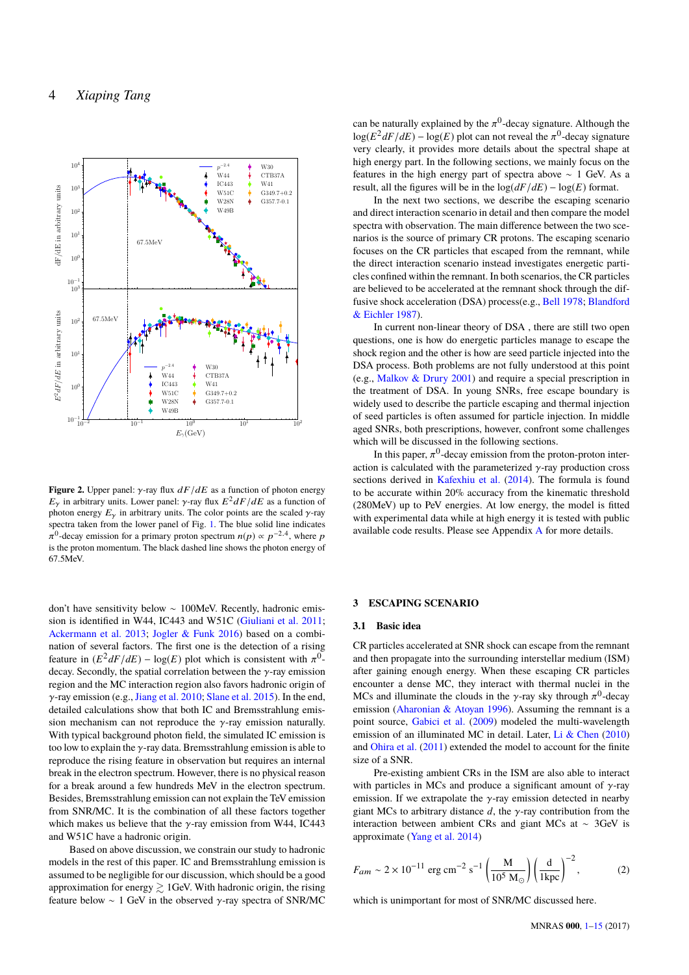

<span id="page-3-1"></span>**Figure 2.** Upper panel:  $\gamma$ -ray flux  $dF/dE$  as a function of photon energy  $E_{\gamma}$  in arbitrary units. Lower panel:  $\gamma$ -ray flux  $E^2 dF/dE$  as a function of photon aperov.  $F_{\gamma}$  in arbitrary units. The color points are the scaled at ray photon energy  $E<sub>γ</sub>$  in arbitrary units. The color points are the scaled γ-ray spectra taken from the lower panel of Fig. [1.](#page-2-0) The blue solid line indicates is the proton momentum. The black dashed line shows the photon energy of <sup>0</sup>-decay emission for a primary proton spectrum  $n(p) \propto p^{-2.4}$ , where p 67.5MeV.

don't have sensitivity below ∼ 100MeV. Recently, hadronic emission is identified in W44, IC443 and W51C [\(Giuliani et al.](#page-12-1) [2011;](#page-12-1) [Ackermann et al.](#page-12-13) [2013;](#page-12-13) [Jogler & Funk](#page-12-10) [2016\)](#page-12-10) based on a combination of several factors. The first one is the detection of a rising feature in  $(E^2 dF/dE) - \log(E)$  plot which is consistent with  $\pi^0$ -<br>decay Secondly the spatial correlation between the *x*-ray emission decay. Secondly, the spatial correlation between the  $\gamma$ -ray emission region and the MC interaction region also favors hadronic origin of γ-ray emission (e.g., [Jiang et al.](#page-12-11) [2010;](#page-12-11) [Slane et al.](#page-12-12) [2015\)](#page-12-12). In the end, detailed calculations show that both IC and Bremsstrahlung emission mechanism can not reproduce the  $\gamma$ -ray emission naturally. With typical background photon field, the simulated IC emission is too low to explain the  $\gamma$ -ray data. Bremsstrahlung emission is able to reproduce the rising feature in observation but requires an internal break in the electron spectrum. However, there is no physical reason for a break around a few hundreds MeV in the electron spectrum. Besides, Bremsstrahlung emission can not explain the TeV emission from SNR/MC. It is the combination of all these factors together which makes us believe that the  $\gamma$ -ray emission from W44, IC443 and W51C have a hadronic origin.

Based on above discussion, we constrain our study to hadronic models in the rest of this paper. IC and Bremsstrahlung emission is assumed to be negligible for our discussion, which should be a good approximation for energy  $\gtrsim$  1GeV. With hadronic origin, the rising feature below  $\sim 1$  GeV in the observed γ-ray spectra of SNR/MC

can be naturally explained by the  $\pi^0$ -decay signature. Although the  $\pi^0$ -decay signature  $\log(E^2 dF/dE) - \log(E)$  plot can not reveal the  $\pi^0$ -decay signature<br>very clearly it provides more details about the spectral shape at very clearly, it provides more details about the spectral shape at high energy part. In the following sections, we mainly focus on the features in the high energy part of spectra above ∼ 1 GeV. As a result, all the figures will be in the  $log(dF/dE) - log(E)$  format.

In the next two sections, we describe the escaping scenario and direct interaction scenario in detail and then compare the model spectra with observation. The main difference between the two scenarios is the source of primary CR protons. The escaping scenario focuses on the CR particles that escaped from the remnant, while the direct interaction scenario instead investigates energetic particles confined within the remnant. In both scenarios, the CR particles are believed to be accelerated at the remnant shock through the diffusive shock acceleration (DSA) process(e.g., [Bell](#page-12-41) [1978;](#page-12-41) [Blandford](#page-12-42) [& Eichler](#page-12-42) [1987\)](#page-12-42).

In current non-linear theory of DSA , there are still two open questions, one is how do energetic particles manage to escape the shock region and the other is how are seed particle injected into the DSA process. Both problems are not fully understood at this point (e.g., [Malkov & Drury](#page-12-43) [2001\)](#page-12-43) and require a special prescription in the treatment of DSA. In young SNRs, free escape boundary is widely used to describe the particle escaping and thermal injection of seed particles is often assumed for particle injection. In middle aged SNRs, both prescriptions, however, confront some challenges which will be discussed in the following sections.

In this paper,  $\pi^0$ -decay emission from the proton-proton inter-<br>n is calculated with the parameterized  $\gamma$ -ray production cross action is calculated with the parameterized  $\gamma$ -ray production cross sections derived in [Kafexhiu et al.](#page-12-31) [\(2014\)](#page-12-31). The formula is found to be accurate within 20% accuracy from the kinematic threshold (280MeV) up to PeV energies. At low energy, the model is fitted with experimental data while at high energy it is tested with public available code results. Please see Appendix [A](#page-13-0) for more details.

### <span id="page-3-0"></span>**3 ESCAPING SCENARIO**

#### **3.1 Basic idea**

CR particles accelerated at SNR shock can escape from the remnant and then propagate into the surrounding interstellar medium (ISM) after gaining enough energy. When these escaping CR particles encounter a dense MC, they interact with thermal nuclei in the MCs and illuminate the clouds in the  $\gamma$ -ray sky through  $\pi^0$ -decay<br>emission (Aberonian & Atovan 1996). Assuming the remnant is a emission [\(Aharonian & Atoyan](#page-12-20) [1996\)](#page-12-20). Assuming the remnant is a point source, [Gabici et al.](#page-12-21) [\(2009\)](#page-12-21) modeled the multi-wavelength emission of an illuminated MC in detail. Later, [Li & Chen](#page-12-23) [\(2010\)](#page-12-23) and [Ohira et al.](#page-12-24) [\(2011\)](#page-12-24) extended the model to account for the finite size of a SNR.

Pre-existing ambient CRs in the ISM are also able to interact with particles in MCs and produce a significant amount of  $\gamma$ -ray emission. If we extrapolate the  $\gamma$ -ray emission detected in nearby giant MCs to arbitrary distance  $d$ , the  $\gamma$ -ray contribution from the interaction between ambient CRs and giant MCs at ∼ 3GeV is approximate [\(Yang et al.](#page-12-44) [2014\)](#page-12-44)

$$
F_{am} \sim 2 \times 10^{-11} \text{ erg cm}^{-2} \text{ s}^{-1} \left(\frac{\text{M}}{10^5 \text{ M}_{\odot}}\right) \left(\frac{\text{d}}{1 \text{kpc}}\right)^{-2},
$$
 (2)

which is unimportant for most of SNR/MC discussed here.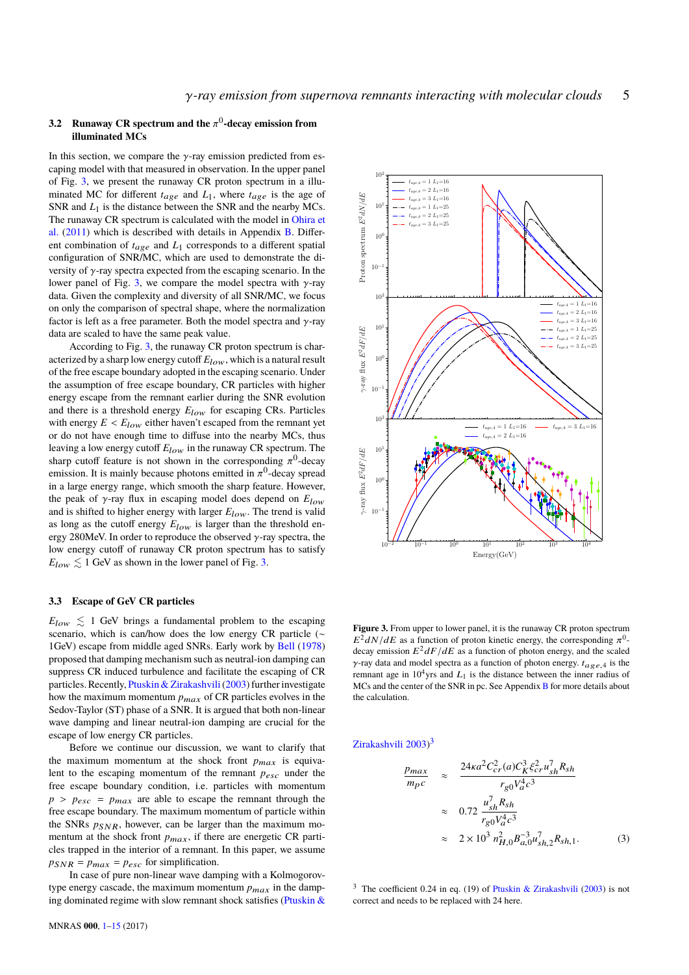## **3.2** Runaway CR spectrum and the  $\pi^0$ -decay emission from<br>illuminated MCs **illuminated MCs**

In this section, we compare the  $\gamma$ -ray emission predicted from escaping model with that measured in observation. In the upper panel of Fig. [3,](#page-4-0) we present the runaway CR proton spectrum in a illuminated MC for different  $t_{\alpha\alpha}$  and  $L_1$ , where  $t_{\alpha\alpha}$  is the age of SNR and *L*1 is the distance between the SNR and the nearby MCs. The runaway CR spectrum is calculated with the model in [Ohira et](#page-12-24) [al.](#page-12-24) [\(2011\)](#page-12-24) which is described with details in Appendix [B.](#page-13-1) Different combination of  $t_{age}$  and  $L_1$  corresponds to a different spatial configuration of SNR/MC, which are used to demonstrate the diversity of  $\gamma$ -ray spectra expected from the escaping scenario. In the lower panel of Fig. [3,](#page-4-0) we compare the model spectra with  $\gamma$ -ray data. Given the complexity and diversity of all SNR/MC, we focus on only the comparison of spectral shape, where the normalization factor is left as a free parameter. Both the model spectra and  $\gamma$ -ray data are scaled to have the same peak value.

According to Fig. [3,](#page-4-0) the runaway CR proton spectrum is characterized by a sharp low energy cutoff  $E_{low}$ , which is a natural result of the free escape boundary adopted in the escaping scenario. Under the assumption of free escape boundary, CR particles with higher energy escape from the remnant earlier during the SNR evolution and there is a threshold energy  $E_{low}$  for escaping CRs. Particles with energy  $E < E_{low}$  either haven't escaped from the remnant yet or do not have enough time to diffuse into the nearby MCs, thus leaving a low energy cutoff  $E_{low}$  in the runaway CR spectrum. The sharp cutoff feature is not shown in the corresponding  $\pi^0$ -decay<br>emission It is mainly because photons emitted in  $\pi^0$ -decay spread emission. It is mainly because photons emitted in  $\pi^0$ -decay spread<br>in a large energy range, which smooth the sharp feature. However, in a large energy range, which smooth the sharp feature. However, the peak of <sup>γ</sup>-ray flux in escaping model does depend on *<sup>E</sup>*low and is shifted to higher energy with larger  $E_{low}$ . The trend is valid as long as the cutoff energy  $E_{low}$  is larger than the threshold energy 280MeV. In order to reproduce the observed  $\gamma$ -ray spectra, the low energy cutoff of runaway CR proton spectrum has to satisfy  $E_{low} \lesssim 1$  GeV as shown in the lower panel of Fig. [3.](#page-4-0)

## <span id="page-4-3"></span>**3.3 Escape of GeV CR particles**

 $E_{low} \leq 1$  GeV brings a fundamental problem to the escaping scenario, which is can/how does the low energy CR particle (∼ 1GeV) escape from middle aged SNRs. Early work by [Bell](#page-12-41) [\(1978\)](#page-12-41) proposed that damping mechanism such as neutral-ion damping can suppress CR induced turbulence and facilitate the escaping of CR particles. Recently, Ptuskin & Zirakashvili (2003) further investigate how the maximum momentum  $p_{max}$  of CR particles evolves in the Sedov-Taylor (ST) phase of a SNR. It is argued that both non-linear wave damping and linear neutral-ion damping are crucial for the escape of low energy CR particles.

Before we continue our discussion, we want to clarify that the maximum momentum at the shock front  $p_{max}$  is equivalent to the escaping momentum of the remnant  $p_{esc}$  under the free escape boundary condition, i.e. particles with momentum  $p > p_{esc} = p_{max}$  are able to escape the remnant through the free escape boundary. The maximum momentum of particle within the SNRs  $p_{SNR}$ , however, can be larger than the maximum momentum at the shock front  $p_{max}$ , if there are energetic CR particles trapped in the interior of a remnant. In this paper, we assume  $p_{SNR} = p_{max} = p_{esc}$  for simplification.

In case of pure non-linear wave damping with a Kolmogorovtype energy cascade, the maximum momentum  $p_{max}$  in the damping dominated regime with slow remnant shock satisfies (Ptuskin  $\&$ 



<span id="page-4-0"></span>**Figure 3.** From upper to lower panel, it is the runaway CR proton spectrum  $E^2 dN/dE$  as a function of proton kinetic energy, the corresponding  $\pi^0$ -<br>decay emission  $E^2 dE/dE$  as a function of photon energy, and the scaled decay emission  $E^2 dF/dE$  as a function of photon energy, and the scaled γ-ray data and model spectra as a function of photon energy.  $t_{\alpha \varphi \varrho}$  is the remnant age in  $10<sup>4</sup>$ yrs and  $L_1$  is the distance between the inner radius of MCs and the center of the SNR in pc. See Appendix [B](#page-13-1) for more details about the calculation.

[Zirakashvili](#page-12-45) [2003\)](#page-12-45)<sup>[3](#page-4-1)</sup>

<span id="page-4-2"></span>
$$
\frac{p_{max}}{m_{p}c} \approx \frac{24\kappa a^{2}C_{cr}^{2}(a)C_{K}^{3}\xi_{cr}^{2}u_{sh}^{7}R_{sh}}{r_{g0}V_{a}^{4}c^{3}}
$$
\n
$$
\approx 0.72 \frac{u_{sh}^{7}R_{sh}}{r_{g0}V_{a}^{4}c^{3}}
$$
\n
$$
\approx 2 \times 10^{3} n_{H,0}^{2}B_{a,0}^{-3}u_{sh,2}^{7}R_{sh,1}.
$$
\n(3)

<span id="page-4-1"></span><sup>3</sup> The coefficient 0.24 in eq. (19) of [Ptuskin & Zirakashvili](#page-12-45) [\(2003\)](#page-12-45) is not correct and needs to be replaced with 24 here.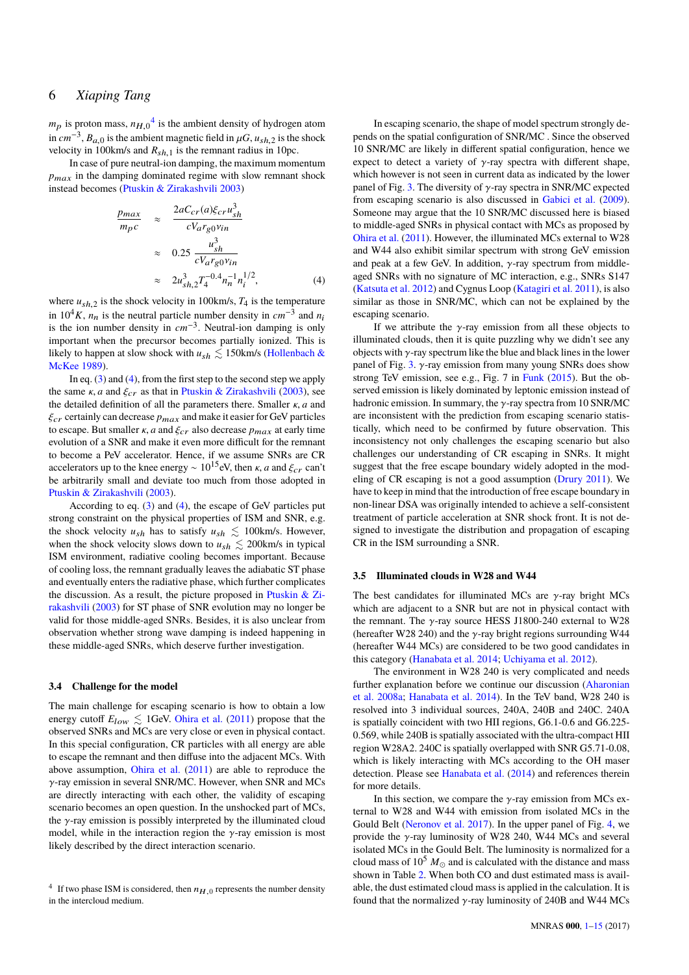$m_p$  is proton mass,  $n_{H,0}^{4}$  $n_{H,0}^{4}$  $n_{H,0}^{4}$  is the ambient density of hydrogen atom<br>in  $\omega G$ ,  $\omega$  is the embient meanstip field in  $\omega G$ ,  $\omega$  is the shock in  $cm^{-3}$ ,  $B_{a,0}$  is the ambient magnetic field in  $\mu G$ ,  $u_{sh,2}$  is the shock velocity in 100km/s and  $R_{h,1}$  is the remnant radius in 10pc velocity in 100km/s and  $R_{sh,1}$  is the remnant radius in 10pc.<br>In case of pure neutral-ion damping, the maximum moment

In case of pure neutral-ion damping, the maximum momentum  $p_{max}$  in the damping dominated regime with slow remnant shock instead becomes [\(Ptuskin & Zirakashvili](#page-12-45) [2003\)](#page-12-45)

<span id="page-5-1"></span>
$$
\frac{p_{max}}{m_p c} \approx \frac{2aC_{cr}(a)\xi_{cr}u_{sh}^3}{cV_{arg0}v_{in}}
$$

$$
\approx 0.25 \frac{u_{sh}^3}{cV_{arg0}v_{in}}
$$

$$
\approx 2u_{sh,2}^3 T_4^{-0.4} n_n^{-1} n_i^{1/2}, \qquad (4)
$$

where  $u_{sh,2}$  is the shock velocity in 100km/s,  $T_4$  is the temperature<br>in  $10^4$  K, n, is the poutrel pertials number density in  $\omega r^{-3}$  and n. in  $10^4 K$ ,  $n_n$  is the neutral particle number density in  $cm^{-3}$  and  $n_i$ is the ion number density in *cm*−<sup>3</sup> . Neutral-ion damping is only important when the precursor becomes partially ionized. This is likely to happen at slow shock with  $u_{sh} \lesssim 150 \text{km/s}$  [\(Hollenbach &](#page-12-46) [McKee](#page-12-46) [1989\)](#page-12-46).

In eq. [\(3\)](#page-4-2) and [\(4\)](#page-5-1), from the first step to the second step we apply the same  $\kappa$ , *a* and  $\xi_{cr}$  as that in [Ptuskin & Zirakashvili](#page-12-45) [\(2003\)](#page-12-45), see the detailed definition of all the parameters there. Smaller κ, *<sup>a</sup>* and  $\xi_{cr}$  certainly can decrease  $p_{max}$  and make it easier for GeV particles to escape. But smaller  $\kappa$ , *a* and  $\xi_{cr}$  also decrease  $p_{max}$  at early time evolution of a SNR and make it even more difficult for the remnant to become a PeV accelerator. Hence, if we assume SNRs are CR accelerators up to the knee energy ~  $10^{15}$ eV, then *k*, *a* and  $\xi_{cr}$  can't be arbitrarily small and deviate too much from those adopted in [Ptuskin & Zirakashvili](#page-12-45) [\(2003\)](#page-12-45).

According to eq. [\(3\)](#page-4-2) and [\(4\)](#page-5-1), the escape of GeV particles put strong constraint on the physical properties of ISM and SNR, e.g. the shock velocity  $u_{sh}$  has to satisfy  $u_{sh} \lesssim 100 \text{km/s}$ . However, when the shock velocity slows down to  $u_{sh} \lesssim 200 \text{km/s}$  in typical ISM environment, radiative cooling becomes important. Because of cooling loss, the remnant gradually leaves the adiabatic ST phase and eventually enters the radiative phase, which further complicates the discussion. As a result, the picture proposed in [Ptuskin & Zi](#page-12-45)[rakashvili](#page-12-45) [\(2003\)](#page-12-45) for ST phase of SNR evolution may no longer be valid for those middle-aged SNRs. Besides, it is also unclear from observation whether strong wave damping is indeed happening in these middle-aged SNRs, which deserve further investigation.

#### **3.4 Challenge for the model**

The main challenge for escaping scenario is how to obtain a low energy cutoff  $E_{low} \lesssim 1$ GeV. [Ohira et al.](#page-12-24) [\(2011\)](#page-12-24) propose that the observed SNRs and MCs are very close or even in physical contact. In this special configuration, CR particles with all energy are able to escape the remnant and then diffuse into the adjacent MCs. With above assumption, [Ohira et al.](#page-12-24) [\(2011\)](#page-12-24) are able to reproduce the γ-ray emission in several SNR/MC. However, when SNR and MCs are directly interacting with each other, the validity of escaping scenario becomes an open question. In the unshocked part of MCs, the  $\gamma$ -ray emission is possibly interpreted by the illuminated cloud model, while in the interaction region the  $\gamma$ -ray emission is most likely described by the direct interaction scenario.

In escaping scenario, the shape of model spectrum strongly depends on the spatial configuration of SNR/MC . Since the observed 10 SNR/MC are likely in different spatial configuration, hence we expect to detect a variety of  $\gamma$ -ray spectra with different shape, which however is not seen in current data as indicated by the lower panel of Fig. [3.](#page-4-0) The diversity of  $\gamma$ -ray spectra in SNR/MC expected from escaping scenario is also discussed in [Gabici et al.](#page-12-21) [\(2009\)](#page-12-21). Someone may argue that the 10 SNR/MC discussed here is biased to middle-aged SNRs in physical contact with MCs as proposed by [Ohira et al.](#page-12-24) [\(2011\)](#page-12-24). However, the illuminated MCs external to W28 and W44 also exhibit similar spectrum with strong GeV emission and peak at a few GeV. In addition,  $\nu$ -ray spectrum from middleaged SNRs with no signature of MC interaction, e.g., SNRs S147 [\(Katsuta et al.](#page-12-47) [2012\)](#page-12-47) and Cygnus Loop [\(Katagiri et al.](#page-12-48) [2011\)](#page-12-48), is also similar as those in SNR/MC, which can not be explained by the escaping scenario.

If we attribute the  $\gamma$ -ray emission from all these objects to illuminated clouds, then it is quite puzzling why we didn't see any objects with  $\gamma$ -ray spectrum like the blue and black lines in the lower panel of Fig. [3.](#page-4-0)  $\gamma$ -ray emission from many young SNRs does show strong TeV emission, see e.g., Fig. 7 in [Funk](#page-12-49) [\(2015\)](#page-12-49). But the observed emission is likely dominated by leptonic emission instead of hadronic emission. In summary, the  $\gamma$ -ray spectra from 10 SNR/MC are inconsistent with the prediction from escaping scenario statistically, which need to be confirmed by future observation. This inconsistency not only challenges the escaping scenario but also challenges our understanding of CR escaping in SNRs. It might suggest that the free escape boundary widely adopted in the modeling of CR escaping is not a good assumption [\(Drury](#page-12-50) [2011\)](#page-12-50). We have to keep in mind that the introduction of free escape boundary in non-linear DSA was originally intended to achieve a self-consistent treatment of particle acceleration at SNR shock front. It is not designed to investigate the distribution and propagation of escaping CR in the ISM surrounding a SNR.

## **3.5 Illuminated clouds in W28 and W44**

The best candidates for illuminated MCs are  $\gamma$ -ray bright MCs which are adjacent to a SNR but are not in physical contact with the remnant. The  $\nu$ -ray source HESS J1800-240 external to W28 (hereafter W28 240) and the  $\gamma$ -ray bright regions surrounding W44 (hereafter W44 MCs) are considered to be two good candidates in this category [\(Hanabata et al.](#page-12-7) [2014;](#page-12-7) [Uchiyama et al.](#page-12-51) [2012\)](#page-12-51).

The environment in W28 240 is very complicated and needs further explanation before we continue our discussion [\(Aharonian](#page-12-5) [et al.](#page-12-5) [2008a;](#page-12-5) [Hanabata et al.](#page-12-7) [2014\)](#page-12-7). In the TeV band, W28 240 is resolved into 3 individual sources, 240A, 240B and 240C. 240A is spatially coincident with two HII regions, G6.1-0.6 and G6.225- 0.569, while 240B is spatially associated with the ultra-compact HII region W28A2. 240C is spatially overlapped with SNR G5.71-0.08, which is likely interacting with MCs according to the OH maser detection. Please see [Hanabata et al.](#page-12-7) [\(2014\)](#page-12-7) and references therein for more details.

In this section, we compare the  $\gamma$ -ray emission from MCs external to W28 and W44 with emission from isolated MCs in the Gould Belt [\(Neronov et al.](#page-12-29) [2017\)](#page-12-29). In the upper panel of Fig. [4,](#page-6-1) we provide the  $\gamma$ -ray luminosity of W28 240, W44 MCs and several isolated MCs in the Gould Belt. The luminosity is normalized for a cloud mass of  $10^5 M_{\odot}$  and is calculated with the distance and mass shown in Table [2.](#page-7-0) When both CO and dust estimated mass is available, the dust estimated cloud mass is applied in the calculation. It is found that the normalized  $\gamma$ -ray luminosity of 240B and W44 MCs

<span id="page-5-0"></span><sup>&</sup>lt;sup>4</sup> If two phase ISM is considered, then  $n_{H,0}$  represents the number density in the intercloud medium.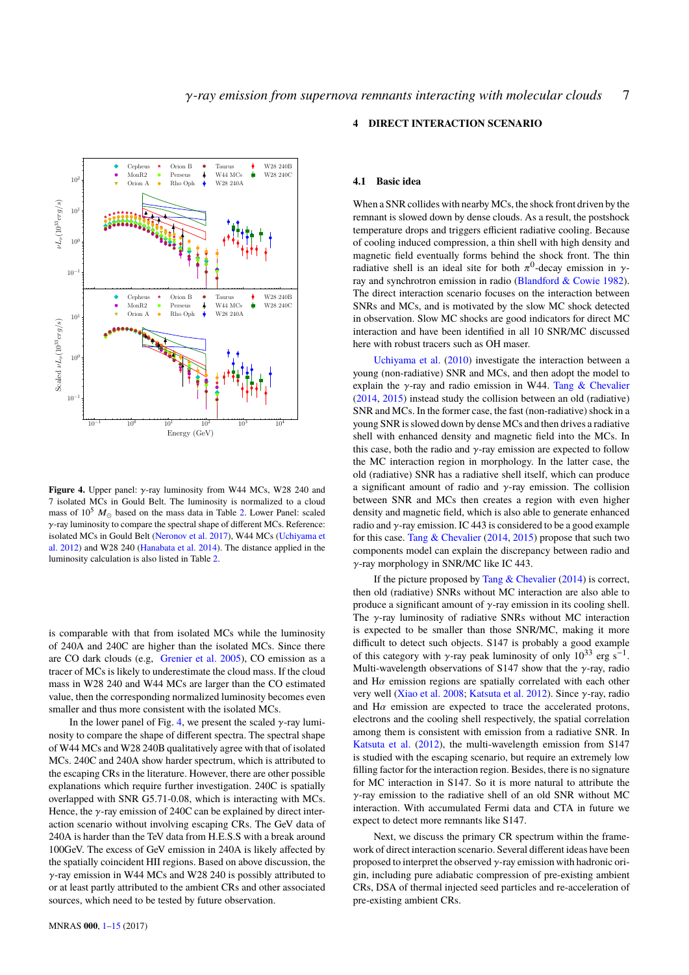

<span id="page-6-1"></span>**Figure 4.** Upper panel: γ-ray luminosity from W44 MCs, W28 240 and 7 isolated MCs in Gould Belt. The luminosity is normalized to a cloud mass of  $10^5$   $M_{\odot}$  based on the mass data in Table [2.](#page-7-0) Lower Panel: scaled γ-ray luminosity to compare the spectral shape of different MCs. Reference: isolated MCs in Gould Belt [\(Neronov et al.](#page-12-29) [2017\)](#page-12-29), W44 MCs [\(Uchiyama et](#page-12-51) [al.](#page-12-51) [2012\)](#page-12-51) and W28 240 [\(Hanabata et al.](#page-12-7) [2014\)](#page-12-7). The distance applied in the luminosity calculation is also listed in Table [2.](#page-7-0)

is comparable with that from isolated MCs while the luminosity of 240A and 240C are higher than the isolated MCs. Since there are CO dark clouds (e.g, [Grenier et al.](#page-12-52) [2005\)](#page-12-52), CO emission as a tracer of MCs is likely to underestimate the cloud mass. If the cloud mass in W28 240 and W44 MCs are larger than the CO estimated value, then the corresponding normalized luminosity becomes even smaller and thus more consistent with the isolated MCs.

In the lower panel of Fig. [4,](#page-6-1) we present the scaled  $\gamma$ -ray luminosity to compare the shape of different spectra. The spectral shape of W44 MCs and W28 240B qualitatively agree with that of isolated MCs. 240C and 240A show harder spectrum, which is attributed to the escaping CRs in the literature. However, there are other possible explanations which require further investigation. 240C is spatially overlapped with SNR G5.71-0.08, which is interacting with MCs. Hence, the  $\gamma$ -ray emission of 240C can be explained by direct interaction scenario without involving escaping CRs. The GeV data of 240A is harder than the TeV data from H.E.S.S with a break around 100GeV. The excess of GeV emission in 240A is likely affected by the spatially coincident HII regions. Based on above discussion, the γ-ray emission in W44 MCs and W28 240 is possibly attributed to or at least partly attributed to the ambient CRs and other associated sources, which need to be tested by future observation.

## <span id="page-6-0"></span>**4 DIRECT INTERACTION SCENARIO**

#### **4.1 Basic idea**

When a SNR collides with nearby MCs, the shock front driven by the remnant is slowed down by dense clouds. As a result, the postshock temperature drops and triggers efficient radiative cooling. Because of cooling induced compression, a thin shell with high density and magnetic field eventually forms behind the shock front. The thin radiative shell is an ideal site for both  $\pi^0$ -decay emission in γ-<br>ray and synchrotron emission in radio (Blandford & Cowie 1982) ray and synchrotron emission in radio [\(Blandford & Cowie](#page-12-53) [1982\)](#page-12-53). The direct interaction scenario focuses on the interaction between SNRs and MCs, and is motivated by the slow MC shock detected in observation. Slow MC shocks are good indicators for direct MC interaction and have been identified in all 10 SNR/MC discussed here with robust tracers such as OH maser.

[Uchiyama et al.](#page-12-15) [\(2010\)](#page-12-15) investigate the interaction between a young (non-radiative) SNR and MCs, and then adopt the model to explain the  $\gamma$ -ray and radio emission in W44. [Tang & Chevalier](#page-12-16) [\(2014,](#page-12-16) [2015\)](#page-12-17) instead study the collision between an old (radiative) SNR and MCs. In the former case, the fast (non-radiative) shock in a young SNR is slowed down by dense MCs and then drives a radiative shell with enhanced density and magnetic field into the MCs. In this case, both the radio and  $\gamma$ -ray emission are expected to follow the MC interaction region in morphology. In the latter case, the old (radiative) SNR has a radiative shell itself, which can produce a significant amount of radio and  $\gamma$ -ray emission. The collision between SNR and MCs then creates a region with even higher density and magnetic field, which is also able to generate enhanced radio and  $\gamma$ -ray emission. IC 443 is considered to be a good example for this case. [Tang & Chevalier](#page-12-16) [\(2014,](#page-12-16) [2015\)](#page-12-17) propose that such two components model can explain the discrepancy between radio and γ-ray morphology in SNR/MC like IC 443.

If the picture proposed by Tang  $&$  Chevalier [\(2014\)](#page-12-16) is correct, then old (radiative) SNRs without MC interaction are also able to produce a significant amount of  $\gamma$ -ray emission in its cooling shell. The  $\gamma$ -ray luminosity of radiative SNRs without MC interaction is expected to be smaller than those SNR/MC, making it more difficult to detect such objects. S147 is probably a good example of this category with γ-ray peak luminosity of only  $10^{33}$  erg s<sup>-1</sup>.<br>Multi-wavelength observations of S147 show that the *x*-ray radio Multi-wavelength observations of S147 show that the  $\gamma$ -ray, radio and  $H\alpha$  emission regions are spatially correlated with each other very well [\(Xiao et al.](#page-12-54) [2008;](#page-12-54) [Katsuta et al.](#page-12-47) [2012\)](#page-12-47). Since γ-ray, radio and  $H\alpha$  emission are expected to trace the accelerated protons, electrons and the cooling shell respectively, the spatial correlation among them is consistent with emission from a radiative SNR. In [Katsuta et al.](#page-12-47) [\(2012\)](#page-12-47), the multi-wavelength emission from S147 is studied with the escaping scenario, but require an extremely low filling factor for the interaction region. Besides, there is no signature for MC interaction in S147. So it is more natural to attribute the γ-ray emission to the radiative shell of an old SNR without MC interaction. With accumulated Fermi data and CTA in future we expect to detect more remnants like S147.

Next, we discuss the primary CR spectrum within the framework of direct interaction scenario. Several different ideas have been proposed to interpret the observed  $\gamma$ -ray emission with hadronic origin, including pure adiabatic compression of pre-existing ambient CRs, DSA of thermal injected seed particles and re-acceleration of pre-existing ambient CRs.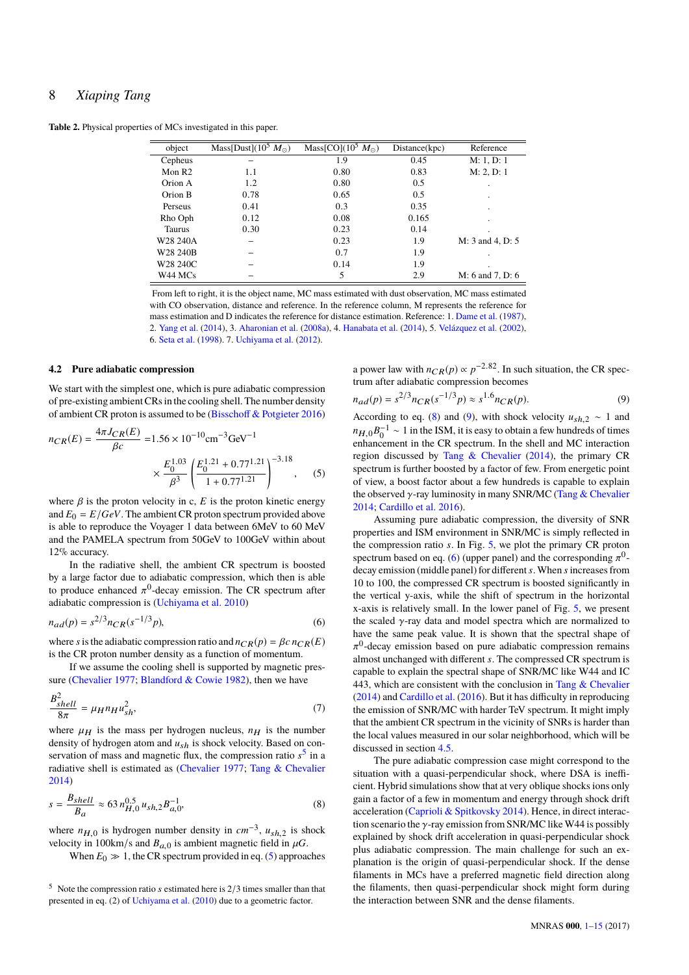<span id="page-7-0"></span>**Table 2.** Physical properties of MCs investigated in this paper.

| object             | Mass[Dust]( $10^5 M_{\odot}$ ) | Mass[CO](10 <sup>3</sup> $M_{\odot}$ ) | Distance(kpc) | Reference          |
|--------------------|--------------------------------|----------------------------------------|---------------|--------------------|
| Cepheus            |                                | 1.9                                    | 0.45          | M: 1, D: 1         |
| Mon R <sub>2</sub> | 1.1                            | 0.80                                   | 0.83          | M: 2, D: 1         |
| Orion A            | 1.2                            | 0.80                                   | 0.5           |                    |
| Orion B            | 0.78                           | 0.65                                   | 0.5           | $\blacksquare$     |
| Perseus            | 0.41                           | 0.3                                    | 0.35          |                    |
| Rho Oph            | 0.12                           | 0.08                                   | 0.165         | $\blacksquare$     |
| <b>Taurus</b>      | 0.30                           | 0.23                                   | 0.14          |                    |
| W28 240A           |                                | 0.23                                   | 1.9           | $M: 3$ and 4, D: 5 |
| W28 240B           |                                | 0.7                                    | 1.9           |                    |
| W28 240C           |                                | 0.14                                   | 1.9           |                    |
| W44 MCs            |                                | 5                                      | 2.9           | $M: 6$ and 7, D: 6 |

From left to right, it is the object name, MC mass estimated with dust observation, MC mass estimated with CO observation, distance and reference. In the reference column, M represents the reference for mass estimation and D indicates the reference for distance estimation. Reference: 1. [Dame et al.](#page-12-55) [\(1987\)](#page-12-55), 2. [Yang et al.](#page-12-44) [\(2014\)](#page-12-44), 3. [Aharonian et al.](#page-12-5) [\(2008a\)](#page-12-5), 4. [Hanabata et al.](#page-12-7) [\(2014\)](#page-12-7), 5. [Velázquez et al.](#page-12-56) [\(2002\)](#page-12-56), 6. [Seta et al.](#page-12-57) [\(1998\)](#page-12-57). 7. [Uchiyama et al.](#page-12-51) [\(2012\)](#page-12-51).

#### <span id="page-7-6"></span>**4.2 Pure adiabatic compression**

We start with the simplest one, which is pure adiabatic compression of pre-existing ambient CRs in the cooling shell. The number density of ambient CR proton is assumed to be [\(Bisschoff & Potgieter](#page-12-58) [2016\)](#page-12-58)

$$
n_{CR}(E) = \frac{4\pi J_{CR}(E)}{\beta c} = 1.56 \times 10^{-10} \text{cm}^{-3} \text{GeV}^{-1}
$$

$$
\times \frac{E_0^{1.03}}{\beta^3} \left(\frac{E_0^{1.21} + 0.77^{1.21}}{1 + 0.77^{1.21}}\right)^{-3.18}, \quad (5)
$$

where  $\beta$  is the proton velocity in c,  $E$  is the proton kinetic energy and  $E_0 = E/GeV$ . The ambient CR proton spectrum provided above is able to reproduce the Voyager 1 data between 6MeV to 60 MeV and the PAMELA spectrum from 50GeV to 100GeV within about 12% accuracy.

In the radiative shell, the ambient CR spectrum is boosted by a large factor due to adiabatic compression, which then is able to produce enhanced  $\pi^0$ -decay emission. The CR spectrum after<br>adjabatic compression is (Uchivama et al. 2010) adiabatic compression is [\(Uchiyama et al.](#page-12-15) [2010\)](#page-12-15)

$$
n_{ad}(p) = s^{2/3} n_{CR}(s^{-1/3}p),
$$
\n(6)

where *s* is the adiabatic compression ratio and  $n_{CR}(p) = \beta c n_{CR}(E)$ is the CR proton number density as a function of momentum.

If we assume the cooling shell is supported by magnetic pressure [\(Chevalier](#page-12-59) [1977;](#page-12-59) [Blandford & Cowie](#page-12-53) [1982\)](#page-12-53), then we have

$$
\frac{B_{shell}^2}{8\pi} = \mu_H n_H u_{sh}^2,\tag{7}
$$

where  $\mu$ <sub>H</sub> is the mass per hydrogen nucleus,  $n_H$  is the number<br>density of hydrogen atom and  $\mu$ , is shock velocity. Based on condensity of hydrogen atom and *u*sh is shock velocity. Based on conservation of mass and magnetic flux, the compression ratio *s* [5](#page-7-1) in a radiative shell is estimated as [\(Chevalier](#page-12-59) [1977;](#page-12-59) [Tang & Chevalier](#page-12-16) [2014\)](#page-12-16)

<span id="page-7-3"></span>
$$
s = \frac{B_{shell}}{B_a} \approx 63 n_{H,0}^{0.5} u_{sh,2} B_{a,0}^{-1},
$$
 (8)

where  $n_{H,0}$  is hydrogen number density in  $cm^{-3}$ ,  $u_{sh,2}$  is shock velocity in 100km/s and  $R_{sh}$  is ambient magnetic field in *uG* velocity in 100km/s and  $B_{a,0}$  is ambient magnetic field in  $\mu$ G.

When  $E_0 \gg 1$ , the CR spectrum provided in eq. [\(5\)](#page-7-2) approaches

a power law with  $n_{CR}(p) \propto p^{-2.82}$ . In such situation, the CR spectrum after adiabatic compression becomes

<span id="page-7-4"></span>
$$
n_{ad}(p) = s^{2/3} n_{CR}(s^{-1/3}p) \approx s^{1.6} n_{CR}(p). \tag{9}
$$

<span id="page-7-2"></span>According to eq. [\(8\)](#page-7-3) and [\(9\)](#page-7-4), with shock velocity  $u_{sh,2} \sim 1$  and  $n_{H,0}B_0^{-1} \sim 1$  in the ISM, it is easy to obtain a few hundreds of times<br>ephancement in the CR spectrum. In the shell and MC interaction enhancement in the CR spectrum. In the shell and MC interaction region discussed by [Tang & Chevalier](#page-12-16) [\(2014\)](#page-12-16), the primary CR spectrum is further boosted by a factor of few. From energetic point of view, a boost factor about a few hundreds is capable to explain the observed  $\gamma$ -ray luminosity in many SNR/MC [\(Tang & Chevalier](#page-12-16) [2014;](#page-12-16) [Cardillo et al.](#page-12-19) [2016\)](#page-12-19).

<span id="page-7-5"></span>Assuming pure adiabatic compression, the diversity of SNR properties and ISM environment in SNR/MC is simply reflected in the compression ratio *s*. In Fig. [5,](#page-8-0) we plot the primary CR proton spectrum based on eq. [\(6\)](#page-7-5) (upper panel) and the corresponding  $\pi^0$ -<br>decay emission (middle panel) for different s. When s increases from decay emission (middle panel) for different*s*.When *s*increases from 10 to 100, the compressed CR spectrum is boosted significantly in the vertical y-axis, while the shift of spectrum in the horizontal x-axis is relatively small. In the lower panel of Fig. [5,](#page-8-0) we present the scaled  $\gamma$ -ray data and model spectra which are normalized to have the same peak value. It is shown that the spectral shape of almost unchanged with different *s*. The compressed CR spectrum is <sup>0</sup>-decay emission based on pure adiabatic compression remains capable to explain the spectral shape of SNR/MC like W44 and IC 443, which are consistent with the conclusion in [Tang & Chevalier](#page-12-16) [\(2014\)](#page-12-16) and [Cardillo et al.](#page-12-19) [\(2016\)](#page-12-19). But it has difficulty in reproducing the emission of SNR/MC with harder TeV spectrum. It might imply that the ambient CR spectrum in the vicinity of SNRs is harder than the local values measured in our solar neighborhood, which will be discussed in section [4.5.](#page-10-1)

The pure adiabatic compression case might correspond to the situation with a quasi-perpendicular shock, where DSA is inefficient. Hybrid simulations show that at very oblique shocks ions only gain a factor of a few in momentum and energy through shock drift acceleration [\(Caprioli & Spitkovsky](#page-12-60) [2014\)](#page-12-60). Hence, in direct interaction scenario the  $\gamma$ -ray emission from SNR/MC like W44 is possibly explained by shock drift acceleration in quasi-perpendicular shock plus adiabatic compression. The main challenge for such an explanation is the origin of quasi-perpendicular shock. If the dense filaments in MCs have a preferred magnetic field direction along the filaments, then quasi-perpendicular shock might form during the interaction between SNR and the dense filaments.

<span id="page-7-1"></span> $5$  Note the compression ratio s estimated here is  $2/3$  times smaller than that presented in eq. (2) of [Uchiyama et al.](#page-12-15) [\(2010\)](#page-12-15) due to a geometric factor.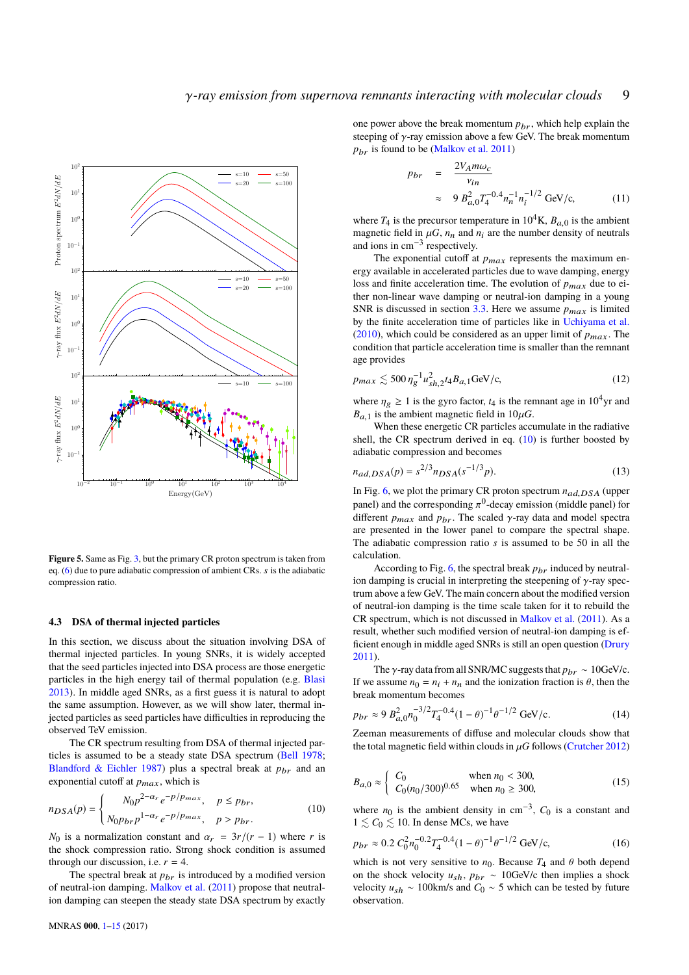

<span id="page-8-0"></span>**Figure 5.** Same as Fig. [3,](#page-4-0) but the primary CR proton spectrum is taken from eq. [\(6\)](#page-7-5) due to pure adiabatic compression of ambient CRs. s is the adiabatic compression ratio.

#### **4.3 DSA of thermal injected particles**

In this section, we discuss about the situation involving DSA of thermal injected particles. In young SNRs, it is widely accepted that the seed particles injected into DSA process are those energetic particles in the high energy tail of thermal population (e.g. [Blasi](#page-12-61) [2013\)](#page-12-61). In middle aged SNRs, as a first guess it is natural to adopt the same assumption. However, as we will show later, thermal injected particles as seed particles have difficulties in reproducing the observed TeV emission.

The CR spectrum resulting from DSA of thermal injected particles is assumed to be a steady state DSA spectrum [\(Bell](#page-12-41) [1978;](#page-12-41) [Blandford & Eichler](#page-12-42) [1987\)](#page-12-42) plus a spectral break at  $p_{\text{br}}$  and an exponential cutoff at  $p_{max}$ , which is

$$
n_{DSA}(p) = \begin{cases} N_0 p^{2-\alpha_r} e^{-p/p_{max}}, & p \le p_{br}, \\ N_0 p_{br} p^{1-\alpha_r} e^{-p/p_{max}}, & p > p_{br}. \end{cases}
$$
(10)

*N*<sup>0</sup> is a normalization constant and  $\alpha_r = 3r/(r - 1)$  where *r* is the shock compression ratio. Strong shock condition is assumed through our discussion, i.e.  $r = 4$ .

The spectral break at  $p_{br}$  is introduced by a modified version of neutral-ion damping. [Malkov et al.](#page-12-62) [\(2011\)](#page-12-62) propose that neutralion damping can steepen the steady state DSA spectrum by exactly

one power above the break momentum  $p_{br}$ , which help explain the steeping of  $\gamma$ -ray emission above a few GeV. The break momentum  $p_{hr}$  is found to be [\(Malkov et al.](#page-12-62) [2011\)](#page-12-62)

$$
p_{br} = \frac{2V_{A}m\omega_{c}}{v_{in}}
$$
  
 
$$
\approx 9 B_{a,0}^{2} T_{4}^{-0.4} n_{n}^{-1} n_{i}^{-1/2} \text{ GeV/c,}
$$
 (11)

where  $T_4$  is the precursor temperature in  $10^4$ K,  $B_{a,0}$  is the ambient magnetic field in  $\mu$ G,  $n_n$  and  $n_i$  are the number density of neutrals and ions in cm−<sup>3</sup> respectively.

The exponential cutoff at  $p_{max}$  represents the maximum energy available in accelerated particles due to wave damping, energy loss and finite acceleration time. The evolution of  $p_{max}$  due to either non-linear wave damping or neutral-ion damping in a young SNR is discussed in section  $3.3$ . Here we assume  $p_{max}$  is limited by the finite acceleration time of particles like in [Uchiyama et al.](#page-12-15) [\(2010\)](#page-12-15), which could be considered as an upper limit of  $p_{max}$ . The condition that particle acceleration time is smaller than the remnant age provides

<span id="page-8-3"></span>
$$
p_{max} \lesssim 500 \eta_g^{-1} u_{sh,2}^2 t_4 B_{a,1} \text{GeV/c},\tag{12}
$$

where  $\eta_g \ge 1$  is the gyro factor,  $t_4$  is the remnant age in 10<sup>4</sup>yr and  $B_{a,1}$  is the ambient magnetic field in  $10 \mu G$ .

<span id="page-8-2"></span>When these energetic CR particles accumulate in the radiative shell, the CR spectrum derived in eq. [\(10\)](#page-8-1) is further boosted by adiabatic compression and becomes

$$
n_{ad,DSA}(p) = s^{2/3} n_{DSA}(s^{-1/3}p).
$$
 (13)

In Fig. [6,](#page-9-1) we plot the primary CR proton spectrum  $n_{ad,DSA}$  (upper<br>panel) and the corresponding  $\pi^0$  doesn emission (middle panel) for panel) and the corresponding  $\pi^0$ -decay emission (middle panel) for different  $n_a$  and  $n_b$ . The scaled  $\gamma$ -ray data and model spectral different *p<sub>max</sub>* and *p<sub>br</sub>*. The scaled γ-ray data and model spectra are presented in the lower panel to compare the spectral shape. The adiabatic compression ratio *s* is assumed to be 50 in all the calculation.

According to Fig. [6,](#page-9-1) the spectral break  $p_{hr}$  induced by neutralion damping is crucial in interpreting the steepening of  $\gamma$ -ray spectrum above a few GeV. The main concern about the modified version of neutral-ion damping is the time scale taken for it to rebuild the CR spectrum, which is not discussed in [Malkov et al.](#page-12-62) [\(2011\)](#page-12-62). As a result, whether such modified version of neutral-ion damping is efficient enough in middle aged SNRs is still an open question [\(Drury](#page-12-50) [2011\)](#page-12-50).

The  $\gamma$ -ray data from all SNR/MC suggests that  $p_{br} \sim 10$ GeV/c. If we assume  $n_0 = n_i + n_n$  and the ionization fraction is  $\theta$ , then the break momentum becomes

$$
p_{br} \approx 9 B_{a,0}^2 n_0^{-3/2} T_4^{-0.4} (1 - \theta)^{-1} \theta^{-1/2} \text{ GeV/c.}
$$
 (14)

Zeeman measurements of diffuse and molecular clouds show that the total magnetic field within clouds in  $\mu$ G follows [\(Crutcher](#page-12-63) [2012\)](#page-12-63)

<span id="page-8-1"></span>
$$
B_{a,0} \approx \begin{cases} C_0 & \text{when } n_0 < 300, \\ C_0(n_0/300)^{0.65} & \text{when } n_0 \ge 300, \end{cases} \tag{15}
$$

where  $n_0$  is the ambient density in cm<sup>-3</sup>,  $C_0$  is a constant and  $1 \leq C_0 \leq 10$ . In dense MCs, we have

$$
p_{br} \approx 0.2 C_0^2 n_0^{-0.2} T_4^{-0.4} (1 - \theta)^{-1} \theta^{-1/2} \text{ GeV/c},\tag{16}
$$

which is not very sensitive to  $n_0$ . Because  $T_4$  and  $\theta$  both depend on the shock velocity  $u_{sh}$ ,  $p_{br} \sim 10 \text{GeV/c}$  then implies a shock velocity  $u_{sh}$  ~ 100km/s and  $C_0$  ~ 5 which can be tested by future observation.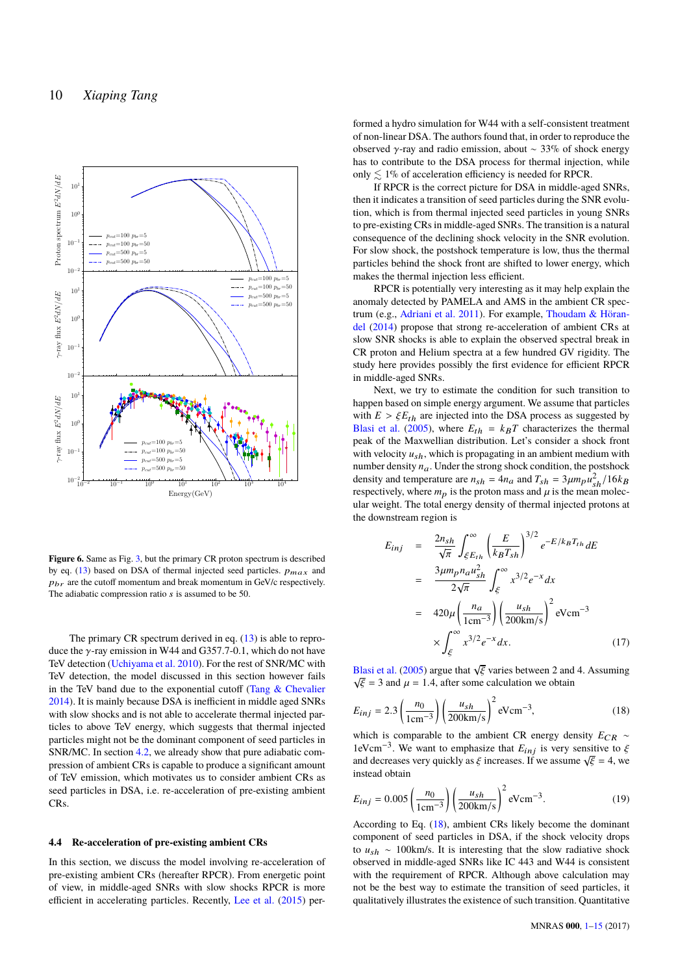

<span id="page-9-1"></span>Figure 6. Same as Fig. [3,](#page-4-0) but the primary CR proton spectrum is described by eq. [\(13\)](#page-8-2) based on DSA of thermal injected seed particles.  $p_{max}$  and  $p_{hr}$  are the cutoff momentum and break momentum in GeV/c respectively. The adiabatic compression ratio s is assumed to be 50.

The primary CR spectrum derived in eq.  $(13)$  is able to reproduce the γ-ray emission in W44 and G357.7-0.1, which do not have TeV detection [\(Uchiyama et al.](#page-12-15) [2010\)](#page-12-15). For the rest of SNR/MC with TeV detection, the model discussed in this section however fails in the TeV band due to the exponential cutoff (Tang  $&$  Chevalier [2014\)](#page-12-16). It is mainly because DSA is inefficient in middle aged SNRs with slow shocks and is not able to accelerate thermal injected particles to above TeV energy, which suggests that thermal injected particles might not be the dominant component of seed particles in SNR/MC. In section [4.2,](#page-7-6) we already show that pure adiabatic compression of ambient CRs is capable to produce a significant amount of TeV emission, which motivates us to consider ambient CRs as seed particles in DSA, i.e. re-acceleration of pre-existing ambient CRs.

#### <span id="page-9-0"></span>**4.4 Re-acceleration of pre-existing ambient CRs**

In this section, we discuss the model involving re-acceleration of pre-existing ambient CRs (hereafter RPCR). From energetic point of view, in middle-aged SNRs with slow shocks RPCR is more efficient in accelerating particles. Recently, [Lee et al.](#page-12-18) [\(2015\)](#page-12-18) per-

formed a hydro simulation for W44 with a self-consistent treatment of non-linear DSA. The authors found that, in order to reproduce the observed γ-ray and radio emission, about  $\sim$  33% of shock energy has to contribute to the DSA process for thermal injection, while only  $\leq 1\%$  of acceleration efficiency is needed for RPCR.

If RPCR is the correct picture for DSA in middle-aged SNRs, then it indicates a transition of seed particles during the SNR evolution, which is from thermal injected seed particles in young SNRs to pre-existing CRs in middle-aged SNRs. The transition is a natural consequence of the declining shock velocity in the SNR evolution. For slow shock, the postshock temperature is low, thus the thermal particles behind the shock front are shifted to lower energy, which makes the thermal injection less efficient.

RPCR is potentially very interesting as it may help explain the anomaly detected by PAMELA and AMS in the ambient CR spectrum (e.g., [Adriani et al.](#page-12-64) [2011\)](#page-12-64). For example, [Thoudam & Höran](#page-12-65)[del](#page-12-65) [\(2014\)](#page-12-65) propose that strong re-acceleration of ambient CRs at slow SNR shocks is able to explain the observed spectral break in CR proton and Helium spectra at a few hundred GV rigidity. The study here provides possibly the first evidence for efficient RPCR in middle-aged SNRs.

Next, we try to estimate the condition for such transition to happen based on simple energy argument. We assume that particles with  $E > \xi E_{th}$  are injected into the DSA process as suggested by [Blasi et al.](#page-12-66) [\(2005\)](#page-12-66), where  $E_{th} = k_B T$  characterizes the thermal peak of the Maxwellian distribution. Let's consider a shock front with velocity  $u_{sh}$ , which is propagating in an ambient medium with number density  $n_a$ . Under the strong shock condition, the postshock density and temperature are  $n_{sh} = 4n_a$  and  $T_{sh} = 3\mu m_p u_{sh}^2 / 16k_B$ <br>respectively where *m* is the proton mass and *u* is the mean molecrespectively, where  $m_p$  is the proton mass and  $\mu$  is the mean molecular weight. The total energy density of thermal injected protons at the downstream region is

$$
E_{inj} = \frac{2n_{sh}}{\sqrt{\pi}} \int_{\xi E_{th}}^{\infty} \left(\frac{E}{k_B T_{sh}}\right)^{3/2} e^{-E/k_B T_{th}} dE
$$
  

$$
= \frac{3\mu m_p n_a u_{sh}^2}{2\sqrt{\pi}} \int_{\xi}^{\infty} x^{3/2} e^{-x} dx
$$
  

$$
= 420\mu \left(\frac{n_a}{1 \text{cm}^{-3}}\right) \left(\frac{u_{sh}}{200 \text{km/s}}\right)^2 \text{eV cm}^{-3}
$$
  

$$
\times \int_{\xi}^{\infty} x^{3/2} e^{-x} dx. \tag{17}
$$

[Blasi et al.](#page-12-66) [\(2005\)](#page-12-66) argue that  $\sqrt{\xi}$  varies between 2 and 4. Assuming  $\sqrt{\xi} = 3$  and  $\mu = 1.4$  after some calculation we obtain  $\sqrt{\xi}$  = 3 and  $\mu$  = 1.4, after some calculation we obtain

<span id="page-9-2"></span>
$$
E_{inj} = 2.3 \left(\frac{n_0}{1 \text{cm}^{-3}}\right) \left(\frac{u_{sh}}{200 \text{km/s}}\right)^2 \text{eV cm}^{-3},\tag{18}
$$

which is comparable to the ambient CR energy density *E*<sub>CR</sub> ∼ 1eVcm<sup>-3</sup>. We want to emphasize that  $E_{inj}$  is very sensitive to  $\xi$ <br>and decreases very quickly as  $\xi$  increases. If we assume  $\sqrt{\xi} = 4$ , we Teven F are want to emphasize that  $E_{inj}$  is very sensitive to  $\zeta$  and decreases very quickly as  $\xi$  increases. If we assume  $\sqrt{\xi} = 4$ , we instead obtain instead obtain

$$
E_{inj} = 0.005 \left(\frac{n_0}{1 \text{cm}^{-3}}\right) \left(\frac{u_{sh}}{200 \text{km/s}}\right)^2 \text{eV cm}^{-3}.
$$
 (19)

According to Eq. [\(18\)](#page-9-2), ambient CRs likely become the dominant component of seed particles in DSA, if the shock velocity drops to *u*sh ∼ 100km/s. It is interesting that the slow radiative shock observed in middle-aged SNRs like IC 443 and W44 is consistent with the requirement of RPCR. Although above calculation may not be the best way to estimate the transition of seed particles, it qualitatively illustrates the existence of such transition. Quantitative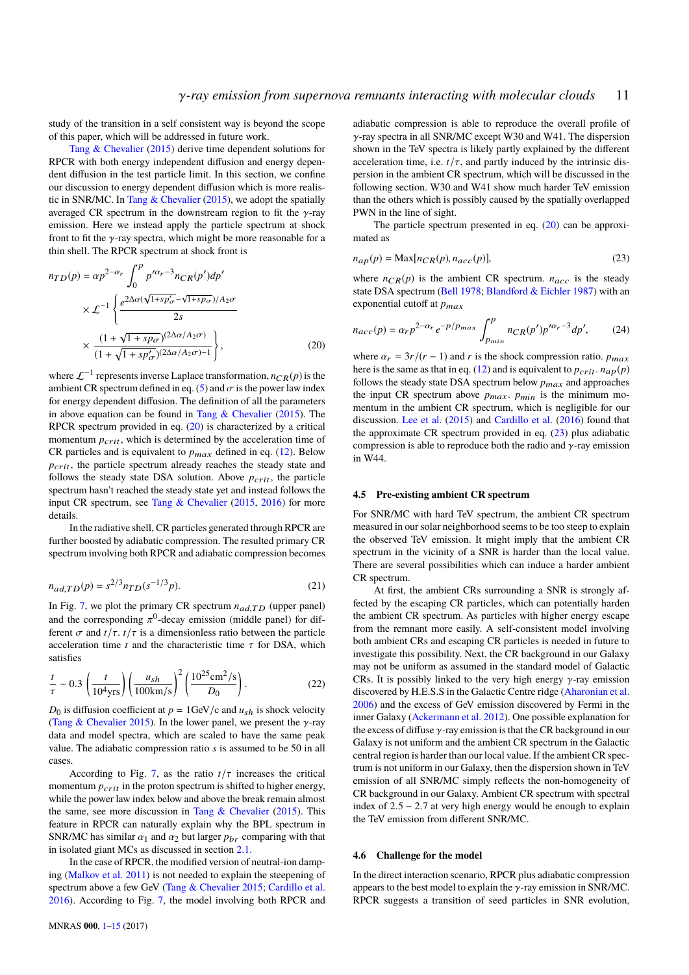study of the transition in a self consistent way is beyond the scope of this paper, which will be addressed in future work.

[Tang & Chevalier](#page-12-17) [\(2015\)](#page-12-17) derive time dependent solutions for RPCR with both energy independent diffusion and energy dependent diffusion in the test particle limit. In this section, we confine our discussion to energy dependent diffusion which is more realistic in SNR/MC. In [Tang & Chevalier](#page-12-17) [\(2015\)](#page-12-17), we adopt the spatially averaged CR spectrum in the downstream region to fit the  $\gamma$ -ray emission. Here we instead apply the particle spectrum at shock front to fit the  $\gamma$ -ray spectra, which might be more reasonable for a thin shell. The RPCR spectrum at shock front is

$$
n_{TD}(p) = \alpha p^{2-\alpha_r} \int_0^p p'^{\alpha_r - 3} n_{CR}(p') dp'
$$
  
 
$$
\times \mathcal{L}^{-1} \left\{ \frac{e^{2\Delta\alpha(\sqrt{1 + sp'_\sigma} - \sqrt{1 + sp_\sigma})/A_2\sigma}}{2s} \right\}
$$
  
 
$$
\times \frac{(1 + \sqrt{1 + sp_\sigma})^{(2\Delta\alpha/A_2\sigma)}}{(1 + \sqrt{1 + sp'_\sigma})^{(2\Delta\alpha/A_2\sigma) - 1}} \right\},
$$
(20)

where  $\mathcal{L}^{-1}$  represents inverse Laplace transformation,  $n_{CR}(p)$  is the ambient CR spectrum defined in eq. [\(5\)](#page-7-2) and  $\sigma$  is the power law index for energy dependent diffusion. The definition of all the parameters in above equation can be found in Tang  $\&$  Chevalier [\(2015\)](#page-12-17). The RPCR spectrum provided in eq. [\(20\)](#page-10-2) is characterized by a critical momentum  $p_{crit}$ , which is determined by the acceleration time of CR particles and is equivalent to  $p_{max}$  defined in eq. [\(12\)](#page-8-3). Below  $p_{crit}$ , the particle spectrum already reaches the steady state and follows the steady state DSA solution. Above  $p_{crit}$ , the particle spectrum hasn't reached the steady state yet and instead follows the input CR spectrum, see [Tang & Chevalier](#page-12-17) [\(2015,](#page-12-17) [2016\)](#page-12-67) for more details.

In the radiative shell, CR particles generated through RPCR are further boosted by adiabatic compression. The resulted primary CR spectrum involving both RPCR and adiabatic compression becomes

<span id="page-10-4"></span>
$$
n_{ad,TD}(p) = s^{2/3} n_{TD}(s^{-1/3}p). \tag{21}
$$

In Fig. [7,](#page-11-1) we plot the primary CR spectrum  $n_{ad,TD}$  (upper panel) and the corresponding  $\pi^0$ -decay emission (middle panel) for dif-<br>ferent  $\pi$  and  $t/\tau$ ,  $t/\tau$  is a dimensionless ratio between the particle ferent  $\sigma$  and  $t/\tau$ .  $t/\tau$  is a dimensionless ratio between the particle acceleration time  $t$  and the characteristic time  $\tau$  for DSA, which satisfies

<span id="page-10-5"></span>
$$
\frac{t}{\tau} \sim 0.3 \left( \frac{t}{10^4 \text{yrs}} \right) \left( \frac{u_{sh}}{100 \text{km/s}} \right)^2 \left( \frac{10^{25} \text{cm}^2/\text{s}}{D_0} \right). \tag{22}
$$

 $D_0$  is diffusion coefficient at  $p = 1$ GeV/c and  $u_{sh}$  is shock velocity [\(Tang & Chevalier](#page-12-17) [2015\)](#page-12-17). In the lower panel, we present the  $\gamma$ -ray data and model spectra, which are scaled to have the same peak value. The adiabatic compression ratio *s* is assumed to be 50 in all cases.

According to Fig. [7,](#page-11-1) as the ratio  $t/\tau$  increases the critical momentum  $p_{crit}$  in the proton spectrum is shifted to higher energy, while the power law index below and above the break remain almost the same, see more discussion in Tang  $&$  Chevalier [\(2015\)](#page-12-17). This feature in RPCR can naturally explain why the BPL spectrum in SNR/MC has similar  $\alpha_1$  and  $\alpha_2$  but larger  $p_{br}$  comparing with that in isolated giant MCs as discussed in section [2.1.](#page-1-3)

In the case of RPCR, the modified version of neutral-ion damping [\(Malkov et al.](#page-12-62) [2011\)](#page-12-62) is not needed to explain the steepening of spectrum above a few GeV [\(Tang & Chevalier](#page-12-17) [2015;](#page-12-17) [Cardillo et al.](#page-12-19) [2016\)](#page-12-19). According to Fig. [7,](#page-11-1) the model involving both RPCR and adiabatic compression is able to reproduce the overall profile of  $\gamma$ -ray spectra in all SNR/MC except W30 and W41. The dispersion shown in the TeV spectra is likely partly explained by the different acceleration time, i.e.  $t/\tau$ , and partly induced by the intrinsic dispersion in the ambient CR spectrum, which will be discussed in the following section. W30 and W41 show much harder TeV emission than the others which is possibly caused by the spatially overlapped PWN in the line of sight.

<span id="page-10-3"></span>The particle spectrum presented in eq. [\(20\)](#page-10-2) can be approximated as

$$
n_{ap}(p) = \text{Max}[n_{CR}(p), n_{acc}(p)],\tag{23}
$$

where  $n_{CR}(p)$  is the ambient CR spectrum.  $n_{acc}$  is the steady state DSA spectrum [\(Bell](#page-12-41) [1978;](#page-12-41) [Blandford & Eichler](#page-12-42) [1987\)](#page-12-42) with an exponential cutoff at  $p_{max}$ 

$$
n_{acc}(p) = \alpha_r p^{2-\alpha_r} e^{-p/p_{max}} \int_{p_{min}}^{p} n_{CR}(p') p'^{\alpha_r - 3} dp',
$$
 (24)

<span id="page-10-2"></span>where  $\alpha_r = \frac{3r}{r - 1}$  and *r* is the shock compression ratio. *p<sub>max</sub>* here is the same as that in eq. [\(12\)](#page-8-3) and is equivalent to  $p_{crit}$ .  $n_{ap}(p)$ follows the steady state DSA spectrum below  $p_{max}$  and approaches the input CR spectrum above  $p_{max}$ .  $p_{min}$  is the minimum momentum in the ambient CR spectrum, which is negligible for our discussion. [Lee et al.](#page-12-18) [\(2015\)](#page-12-18) and [Cardillo et al.](#page-12-19) [\(2016\)](#page-12-19) found that the approximate CR spectrum provided in eq.  $(23)$  plus adiabatic compression is able to reproduce both the radio and  $\gamma$ -ray emission in W44.

#### <span id="page-10-1"></span>**4.5 Pre-existing ambient CR spectrum**

For SNR/MC with hard TeV spectrum, the ambient CR spectrum measured in our solar neighborhood seems to be too steep to explain the observed TeV emission. It might imply that the ambient CR spectrum in the vicinity of a SNR is harder than the local value. There are several possibilities which can induce a harder ambient CR spectrum.

At first, the ambient CRs surrounding a SNR is strongly affected by the escaping CR particles, which can potentially harden the ambient CR spectrum. As particles with higher energy escape from the remnant more easily. A self-consistent model involving both ambient CRs and escaping CR particles is needed in future to investigate this possibility. Next, the CR background in our Galaxy may not be uniform as assumed in the standard model of Galactic CRs. It is possibly linked to the very high energy  $\gamma$ -ray emission discovered by H.E.S.S in the Galactic Centre ridge [\(Aharonian et al.](#page-12-68) [2006\)](#page-12-68) and the excess of GeV emission discovered by Fermi in the inner Galaxy [\(Ackermann et al.](#page-12-69) [2012\)](#page-12-69). One possible explanation for the excess of diffuse  $\gamma$ -ray emission is that the CR background in our Galaxy is not uniform and the ambient CR spectrum in the Galactic central region is harder than our local value. If the ambient CR spectrum is not uniform in our Galaxy, then the dispersion shown in TeV emission of all SNR/MC simply reflects the non-homogeneity of CR background in our Galaxy. Ambient CR spectrum with spectral index of  $2.5 - 2.7$  at very high energy would be enough to explain the TeV emission from different SNR/MC.

## <span id="page-10-0"></span>**4.6 Challenge for the model**

In the direct interaction scenario, RPCR plus adiabatic compression appears to the best model to explain the  $\gamma$ -ray emission in SNR/MC. RPCR suggests a transition of seed particles in SNR evolution,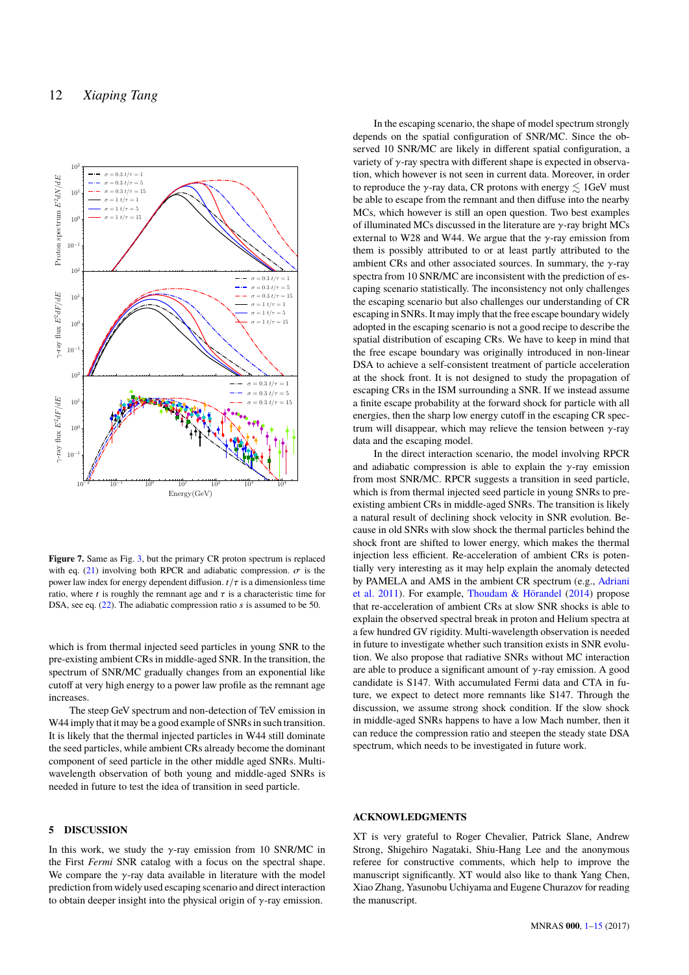

<span id="page-11-1"></span>Figure 7. Same as Fig. [3,](#page-4-0) but the primary CR proton spectrum is replaced with eq. [\(21\)](#page-10-4) involving both RPCR and adiabatic compression.  $\sigma$  is the power law index for energy dependent diffusion.  $t/\tau$  is a dimensionless time ratio, where t is roughly the remnant age and  $\tau$  is a characteristic time for DSA, see eq. [\(22\)](#page-10-5). The adiabatic compression ratio s is assumed to be 50.

which is from thermal injected seed particles in young SNR to the pre-existing ambient CRs in middle-aged SNR. In the transition, the spectrum of SNR/MC gradually changes from an exponential like cutoff at very high energy to a power law profile as the remnant age increases.

The steep GeV spectrum and non-detection of TeV emission in W44 imply that it may be a good example of SNRs in such transition. It is likely that the thermal injected particles in W44 still dominate the seed particles, while ambient CRs already become the dominant component of seed particle in the other middle aged SNRs. Multiwavelength observation of both young and middle-aged SNRs is needed in future to test the idea of transition in seed particle.

# <span id="page-11-0"></span>**5 DISCUSSION**

In this work, we study the  $\gamma$ -ray emission from 10 SNR/MC in the First *Fermi* SNR catalog with a focus on the spectral shape. We compare the  $\gamma$ -ray data available in literature with the model prediction from widely used escaping scenario and direct interaction to obtain deeper insight into the physical origin of  $\gamma$ -ray emission.

In the escaping scenario, the shape of model spectrum strongly depends on the spatial configuration of SNR/MC. Since the observed 10 SNR/MC are likely in different spatial configuration, a variety of γ-ray spectra with different shape is expected in observation, which however is not seen in current data. Moreover, in order to reproduce the  $\gamma$ -ray data, CR protons with energy  $\lesssim 1$ GeV must be able to escape from the remnant and then diffuse into the nearby MCs, which however is still an open question. Two best examples of illuminated MCs discussed in the literature are  $\gamma$ -ray bright MCs external to W28 and W44. We argue that the  $\gamma$ -ray emission from them is possibly attributed to or at least partly attributed to the ambient CRs and other associated sources. In summary, the  $\nu$ -ray spectra from 10 SNR/MC are inconsistent with the prediction of escaping scenario statistically. The inconsistency not only challenges the escaping scenario but also challenges our understanding of CR escaping in SNRs. It may imply that the free escape boundary widely adopted in the escaping scenario is not a good recipe to describe the spatial distribution of escaping CRs. We have to keep in mind that the free escape boundary was originally introduced in non-linear DSA to achieve a self-consistent treatment of particle acceleration at the shock front. It is not designed to study the propagation of escaping CRs in the ISM surrounding a SNR. If we instead assume a finite escape probability at the forward shock for particle with all energies, then the sharp low energy cutoff in the escaping CR spectrum will disappear, which may relieve the tension between  $\gamma$ -ray data and the escaping model.

In the direct interaction scenario, the model involving RPCR and adiabatic compression is able to explain the  $\gamma$ -ray emission from most SNR/MC. RPCR suggests a transition in seed particle, which is from thermal injected seed particle in young SNRs to preexisting ambient CRs in middle-aged SNRs. The transition is likely a natural result of declining shock velocity in SNR evolution. Because in old SNRs with slow shock the thermal particles behind the shock front are shifted to lower energy, which makes the thermal injection less efficient. Re-acceleration of ambient CRs is potentially very interesting as it may help explain the anomaly detected by PAMELA and AMS in the ambient CR spectrum (e.g., [Adriani](#page-12-64) [et al.](#page-12-64) [2011\)](#page-12-64). For example, [Thoudam & Hörandel](#page-12-65) [\(2014\)](#page-12-65) propose that re-acceleration of ambient CRs at slow SNR shocks is able to explain the observed spectral break in proton and Helium spectra at a few hundred GV rigidity. Multi-wavelength observation is needed in future to investigate whether such transition exists in SNR evolution. We also propose that radiative SNRs without MC interaction are able to produce a significant amount of  $\gamma$ -ray emission. A good candidate is S147. With accumulated Fermi data and CTA in future, we expect to detect more remnants like S147. Through the discussion, we assume strong shock condition. If the slow shock in middle-aged SNRs happens to have a low Mach number, then it can reduce the compression ratio and steepen the steady state DSA spectrum, which needs to be investigated in future work.

## **ACKNOWLEDGMENTS**

XT is very grateful to Roger Chevalier, Patrick Slane, Andrew Strong, Shigehiro Nagataki, Shiu-Hang Lee and the anonymous referee for constructive comments, which help to improve the manuscript significantly. XT would also like to thank Yang Chen, Xiao Zhang, Yasunobu Uchiyama and Eugene Churazov for reading the manuscript.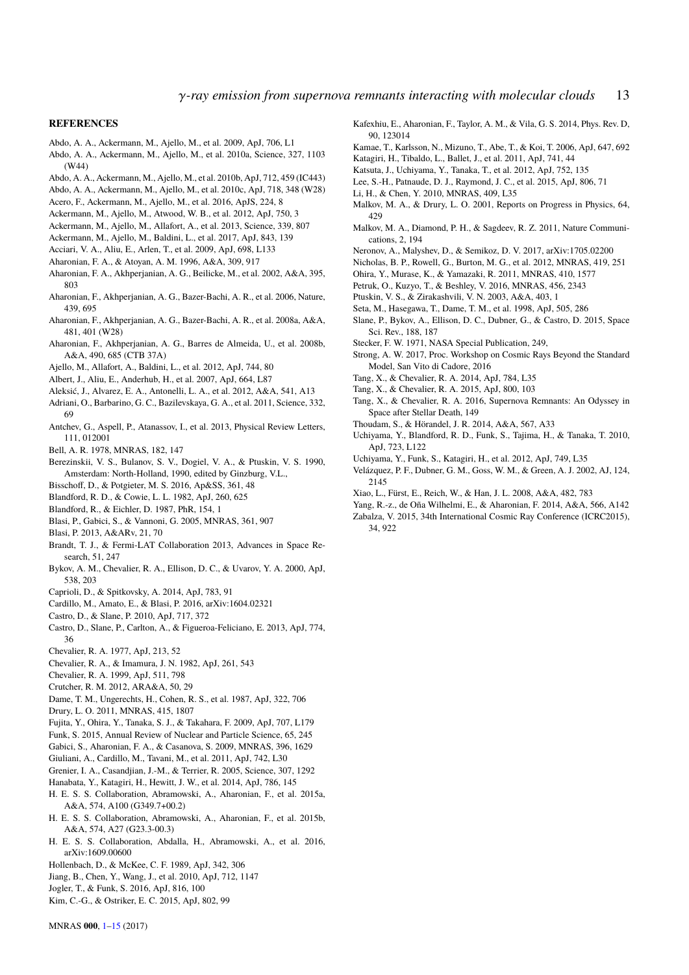#### **REFERENCES**

- <span id="page-12-8"></span>Abdo, A. A., Ackermann, M., Ajello, M., et al. 2009, ApJ, 706, L1
- <span id="page-12-0"></span>Abdo, A. A., Ackermann, M., Ajello, M., et al. 2010a, Science, 327, 1103 (W44)
- <span id="page-12-4"></span>Abdo, A. A., Ackermann, M., Ajello, M., et al. 2010b, ApJ, 712, 459 (IC443)
- <span id="page-12-6"></span>Abdo, A. A., Ackermann, M., Ajello, M., et al. 2010c, ApJ, 718, 348 (W28)
- <span id="page-12-25"></span>Acero, F., Ackermann, M., Ajello, M., et al. 2016, ApJS, 224, 8
- <span id="page-12-69"></span>Ackermann, M., Ajello, M., Atwood, W. B., et al. 2012, ApJ, 750, 3
- <span id="page-12-13"></span>Ackermann, M., Ajello, M., Allafort, A., et al. 2013, Science, 339, 807
- <span id="page-12-26"></span>Ackermann, M., Ajello, M., Baldini, L., et al. 2017, ApJ, 843, 139
- <span id="page-12-3"></span>Acciari, V. A., Aliu, E., Arlen, T., et al. 2009, ApJ, 698, L133
- <span id="page-12-20"></span>Aharonian, F. A., & Atoyan, A. M. 1996, A&A, 309, 917
- Aharonian, F. A., Akhperjanian, A. G., Beilicke, M., et al. 2002, A&A, 395, 803
- <span id="page-12-68"></span>Aharonian, F., Akhperjanian, A. G., Bazer-Bachi, A. R., et al. 2006, Nature, 439, 695
- <span id="page-12-5"></span>Aharonian, F., Akhperjanian, A. G., Bazer-Bachi, A. R., et al. 2008a, A&A, 481, 401 (W28)
- <span id="page-12-35"></span>Aharonian, F., Akhperjanian, A. G., Barres de Almeida, U., et al. 2008b, A&A, 490, 685 (CTB 37A)
- <span id="page-12-27"></span>Ajello, M., Allafort, A., Baldini, L., et al. 2012, ApJ, 744, 80
- <span id="page-12-2"></span>Albert, J., Aliu, E., Anderhub, H., et al. 2007, ApJ, 664, L87
- <span id="page-12-9"></span>Aleksić, J., Alvarez, E. A., Antonelli, L. A., et al. 2012, A&A, 541, A13
- <span id="page-12-64"></span>Adriani, O., Barbarino, G. C., Bazilevskaya, G. A., et al. 2011, Science, 332, 69
- <span id="page-12-33"></span>Antchev, G., Aspell, P., Atanassov, I., et al. 2013, Physical Review Letters, 111, 012001
- <span id="page-12-41"></span>Bell, A. R. 1978, MNRAS, 182, 147
- <span id="page-12-70"></span>Berezinskii, V. S., Bulanov, S. V., Dogiel, V. A., & Ptuskin, V. S. 1990, Amsterdam: North-Holland, 1990, edited by Ginzburg, V.L.,
- <span id="page-12-58"></span>Bisschoff, D., & Potgieter, M. S. 2016, Ap&SS, 361, 48
- <span id="page-12-53"></span>Blandford, R. D., & Cowie, L. L. 1982, ApJ, 260, 625
- <span id="page-12-42"></span>Blandford, R., & Eichler, D. 1987, PhR, 154, 1
- <span id="page-12-66"></span>Blasi, P., Gabici, S., & Vannoni, G. 2005, MNRAS, 361, 907
- <span id="page-12-61"></span>Blasi, P. 2013, A&ARv, 21, 70
- <span id="page-12-36"></span>Brandt, T. J., & Fermi-LAT Collaboration 2013, Advances in Space Research, 51, 247
- <span id="page-12-14"></span>Bykov, A. M., Chevalier, R. A., Ellison, D. C., & Uvarov, Y. A. 2000, ApJ, 538, 203
- <span id="page-12-60"></span>Caprioli, D., & Spitkovsky, A. 2014, ApJ, 783, 91
- <span id="page-12-19"></span>Cardillo, M., Amato, E., & Blasi, P. 2016, arXiv:1604.02321
- Castro, D., & Slane, P. 2010, ApJ, 717, 372
- <span id="page-12-37"></span>Castro, D., Slane, P., Carlton, A., & Figueroa-Feliciano, E. 2013, ApJ, 774, 36
- <span id="page-12-59"></span>Chevalier, R. A. 1977, ApJ, 213, 52
- Chevalier, R. A., & Imamura, J. N. 1982, ApJ, 261, 543
- Chevalier, R. A. 1999, ApJ, 511, 798
- <span id="page-12-63"></span>Crutcher, R. M. 2012, ARA&A, 50, 29
- <span id="page-12-55"></span>Dame, T. M., Ungerechts, H., Cohen, R. S., et al. 1987, ApJ, 322, 706
- <span id="page-12-50"></span>Drury, L. O. 2011, MNRAS, 415, 1807
- <span id="page-12-22"></span>Fujita, Y., Ohira, Y., Tanaka, S. J., & Takahara, F. 2009, ApJ, 707, L179
- <span id="page-12-49"></span>Funk, S. 2015, Annual Review of Nuclear and Particle Science, 65, 245
- <span id="page-12-21"></span>Gabici, S., Aharonian, F. A., & Casanova, S. 2009, MNRAS, 396, 1629
- <span id="page-12-1"></span>Giuliani, A., Cardillo, M., Tavani, M., et al. 2011, ApJ, 742, L30
- <span id="page-12-52"></span>Grenier, I. A., Casandjian, J.-M., & Terrier, R. 2005, Science, 307, 1292
- <span id="page-12-7"></span>Hanabata, Y., Katagiri, H., Hewitt, J. W., et al. 2014, ApJ, 786, 145
- <span id="page-12-38"></span>H. E. S. S. Collaboration, Abramowski, A., Aharonian, F., et al. 2015a, A&A, 574, A100 (G349.7+00.2)
- <span id="page-12-28"></span>H. E. S. S. Collaboration, Abramowski, A., Aharonian, F., et al. 2015b, A&A, 574, A27 (G23.3-00.3)
- <span id="page-12-34"></span>H. E. S. S. Collaboration, Abdalla, H., Abramowski, A., et al. 2016, arXiv:1609.00600
- <span id="page-12-46"></span>Hollenbach, D., & McKee, C. F. 1989, ApJ, 342, 306
- <span id="page-12-11"></span>Jiang, B., Chen, Y., Wang, J., et al. 2010, ApJ, 712, 1147
- <span id="page-12-10"></span>Jogler, T., & Funk, S. 2016, ApJ, 816, 100
- Kim, C.-G., & Ostriker, E. C. 2015, ApJ, 802, 99
	-
- MNRAS **000**, [1](#page-0-0)[–15](#page-14-0) (2017)
- <span id="page-12-31"></span>Kafexhiu, E., Aharonian, F., Taylor, A. M., & Vila, G. S. 2014, Phys. Rev. D, 90, 123014
- <span id="page-12-48"></span><span id="page-12-32"></span>Kamae, T., Karlsson, N., Mizuno, T., Abe, T., & Koi, T. 2006, ApJ, 647, 692 Katagiri, H., Tibaldo, L., Ballet, J., et al. 2011, ApJ, 741, 44
- <span id="page-12-47"></span>Katsuta, J., Uchiyama, Y., Tanaka, T., et al. 2012, ApJ, 752, 135
- <span id="page-12-18"></span>Lee, S.-H., Patnaude, D. J., Raymond, J. C., et al. 2015, ApJ, 806, 71
- <span id="page-12-23"></span>Li, H., & Chen, Y. 2010, MNRAS, 409, L35
- <span id="page-12-43"></span>Malkov, M. A., & Drury, L. O. 2001, Reports on Progress in Physics, 64, 429
- <span id="page-12-62"></span>Malkov, M. A., Diamond, P. H., & Sagdeev, R. Z. 2011, Nature Communications, 2, 194
- <span id="page-12-29"></span>Neronov, A., Malyshev, D., & Semikoz, D. V. 2017, arXiv:1705.02200
- Nicholas, B. P., Rowell, G., Burton, M. G., et al. 2012, MNRAS, 419, 251
- <span id="page-12-24"></span>Ohira, Y., Murase, K., & Yamazaki, R. 2011, MNRAS, 410, 1577
- Petruk, O., Kuzyo, T., & Beshley, V. 2016, MNRAS, 456, 2343
- <span id="page-12-45"></span>Ptuskin, V. S., & Zirakashvili, V. N. 2003, A&A, 403, 1
- <span id="page-12-57"></span>Seta, M., Hasegawa, T., Dame, T. M., et al. 1998, ApJ, 505, 286
- <span id="page-12-12"></span>Slane, P., Bykov, A., Ellison, D. C., Dubner, G., & Castro, D. 2015, Space Sci. Rev., 188, 187
- <span id="page-12-40"></span>Stecker, F. W. 1971, NASA Special Publication, 249,
- <span id="page-12-39"></span>Strong, A. W. 2017, Proc. Workshop on Cosmic Rays Beyond the Standard Model, San Vito di Cadore, 2016
- <span id="page-12-16"></span>Tang, X., & Chevalier, R. A. 2014, ApJ, 784, L35
- <span id="page-12-17"></span>Tang, X., & Chevalier, R. A. 2015, ApJ, 800, 103
- <span id="page-12-67"></span>Tang, X., & Chevalier, R. A. 2016, Supernova Remnants: An Odyssey in Space after Stellar Death, 149
- <span id="page-12-65"></span>Thoudam, S., & Hörandel, J. R. 2014, A&A, 567, A33
- <span id="page-12-15"></span>Uchiyama, Y., Blandford, R. D., Funk, S., Tajima, H., & Tanaka, T. 2010, ApJ, 723, L122
- <span id="page-12-51"></span>Uchiyama, Y., Funk, S., Katagiri, H., et al. 2012, ApJ, 749, L35
- <span id="page-12-56"></span>Velázquez, P. F., Dubner, G. M., Goss, W. M., & Green, A. J. 2002, AJ, 124, 2145
- <span id="page-12-54"></span>Xiao, L., Fürst, E., Reich, W., & Han, J. L. 2008, A&A, 482, 783
- <span id="page-12-44"></span>Yang, R.-z., de Oña Wilhelmi, E., & Aharonian, F. 2014, A&A, 566, A142
- <span id="page-12-30"></span>Zabalza, V. 2015, 34th International Cosmic Ray Conference (ICRC2015), 34, 922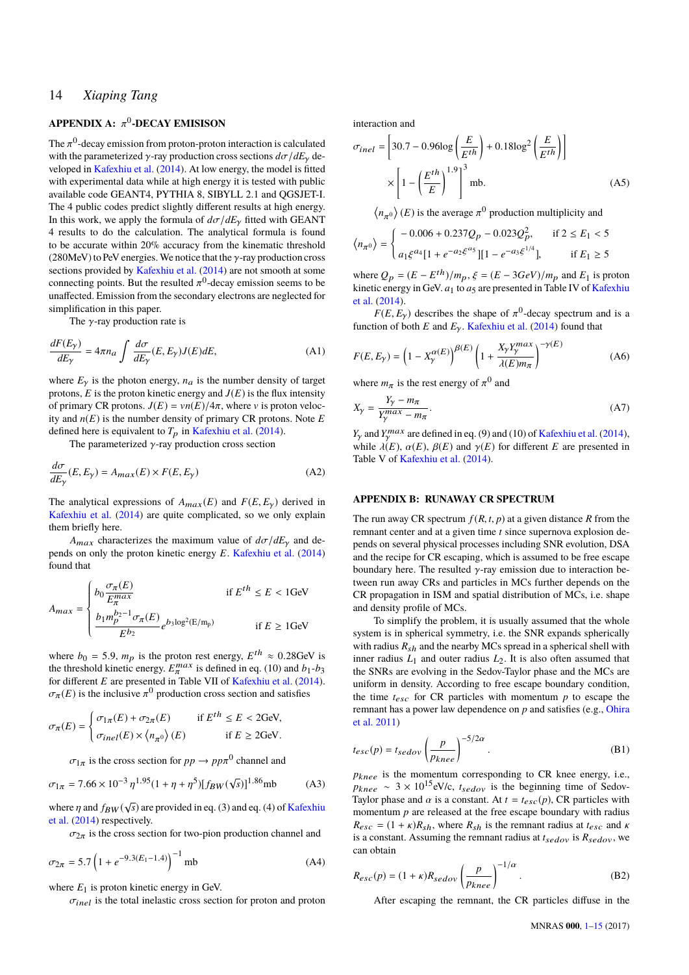# <span id="page-13-0"></span>**APPENDIX A:**  $\pi^0$ -**DECAY EMISISON**

The  $\pi^0$ -decay emission from proton-proton interaction is calculated<br>with the parameterized  $\chi$ -ray production cross sections  $d\pi/dE$ , dewith the parameterized  $\gamma$ -ray production cross sections  $d\sigma/dE_{\gamma}$  developed in [Kafexhiu et al.](#page-12-31) [\(2014\)](#page-12-31). At low energy, the model is fitted with experimental data while at high energy it is tested with public available code GEANT4, PYTHIA 8, SIBYLL 2.1 and QGSJET-I. The 4 public codes predict slightly different results at high energy. In this work, we apply the formula of  $d\sigma/dE_\gamma$  fitted with GEANT 4 results to do the calculation. The analytical formula is found to be accurate within 20% accuracy from the kinematic threshold (280MeV) to PeV energies. We notice that the  $\gamma$ -ray production cross sections provided by [Kafexhiu et al.](#page-12-31) [\(2014\)](#page-12-31) are not smooth at some connecting points. But the resulted  $\pi^0$ -decay emission seems to be unaffected. Emission from the secondary electrons are neglected for unaffected. Emission from the secondary electrons are neglected for simplification in this paper.

The  $\gamma$ -ray production rate is

$$
\frac{dF(E_{\gamma})}{dE_{\gamma}} = 4\pi n_a \int \frac{d\sigma}{dE_{\gamma}}(E, E_{\gamma}) J(E) dE,
$$
\n(A1)

where  $E<sub>\gamma</sub>$  is the photon energy,  $n_a$  is the number density of target protons,  $E$  is the proton kinetic energy and  $J(E)$  is the flux intensity of primary CR protons.  $J(E) = \nu n(E)/4\pi$ , where v is proton velocity and  $n(E)$  is the number density of primary CR protons. Note  $E$ defined here is equivalent to  $T_p$  in [Kafexhiu et al.](#page-12-31) [\(2014\)](#page-12-31).

The parameterized  $\gamma$ -ray production cross section

$$
\frac{d\sigma}{dE_{\gamma}}(E, E_{\gamma}) = A_{max}(E) \times F(E, E_{\gamma})
$$
\n(A2)

The analytical expressions of  $A_{max}(E)$  and  $F(E, E_{\gamma})$  derived in [Kafexhiu et al.](#page-12-31) [\(2014\)](#page-12-31) are quite complicated, so we only explain them briefly here.

*A<sub>max</sub>* characterizes the maximum value of  $d\sigma/dE_v$  and depends on only the proton kinetic energy *E*. [Kafexhiu et al.](#page-12-31) [\(2014\)](#page-12-31) found that

$$
A_{max} = \begin{cases} b_0 \frac{\sigma_{\pi}(E)}{E_{\pi}^{max}} & \text{if } E^{th} \le E < 1 \text{GeV} \\ \frac{b_1 m_p^{b_2 - 1} \sigma_{\pi}(E)}{E^{b_2}} e^{b_3 \log^2(E/m_p)} & \text{if } E \ge 1 \text{GeV} \end{cases}
$$

where  $b_0 = 5.9$ ,  $m_p$  is the proton rest energy,  $E^{th} \approx 0.28$ GeV is the threshold kinetic energy.  $E_{\pi}^{max}$  is defined in eq. (10) and  $b_1$ - $b_3$ where  $b_0 = 5.9$ ,  $m_p$  is the proton rest energy,  $E^{th} \approx 0.28$ GeV is for different *E* are presented in Table VII of [Kafexhiu et al.](#page-12-31) [\(2014\)](#page-12-31).  $\sigma_{\pi}(E)$  is the inclusive  $\pi^0$  production cross section and satisfies

$$
\sigma_{\pi}(E) = \begin{cases} \sigma_{1\pi}(E) + \sigma_{2\pi}(E) & \text{if } E^{th} \le E < 2\text{GeV}, \\ \sigma_{inel}(E) \times \langle n_{\pi^0} \rangle(E) & \text{if } E \ge 2\text{GeV}. \end{cases}
$$

 $\sigma_{1\pi}$  is the cross section for  $pp \to pp\pi^0$  channel and

$$
\sigma_{1\pi} = 7.66 \times 10^{-3} \eta^{1.95} (1 + \eta + \eta^5) [f_{BW}(\sqrt{s})]^{1.86} \text{mb} \tag{A3}
$$

where  $\eta$  and  $f_{BW}(\sqrt{s})$  are provided in eq. (3) and eq. (4) of [Kafexhiu](#page-12-31) [et al.](#page-12-31) [\(2014\)](#page-12-31) respectively.

 $\sigma_{2\pi}$  is the cross section for two-pion production channel and

$$
\sigma_{2\pi} = 5.7 \left( 1 + e^{-9.3(E_1 - 1.4)} \right)^{-1} \text{mb}
$$
 (A4)

where  $E_1$  is proton kinetic energy in GeV.

 $\sigma_{inel}$  is the total inelastic cross section for proton and proton

interaction and

$$
\sigma_{inel} = \left[30.7 - 0.96\log\left(\frac{E}{E^{th}}\right) + 0.18\log^2\left(\frac{E}{E^{th}}\right)\right]
$$

$$
\times \left[1 - \left(\frac{E^{th}}{E}\right)^{1.9}\right]^3 \text{ mb.}
$$
(A5)

 $\langle n_{\pi^0} \rangle$  (*E*) is the average  $\pi^0$  production multiplicity and

$$
\langle n_{\pi^0} \rangle = \begin{cases}\n-0.006 + 0.237Q_p - 0.023Q_p^2, & \text{if } 2 \le E_1 < 5 \\
a_1 \xi^{a_4} [1 + e^{-a_2 \xi^{a_5}}] [1 - e^{-a_3 \xi^{1/4}}], & \text{if } E_1 \ge 5\n\end{cases}
$$

where  $Q_p = (E - E^{th})/m_p$ ,  $\xi = (E - 3GeV)/m_p$  and  $E_1$  is proton<br>kinetic energy in GeV, at to as are presented in Table IV of Kafeyhiu kinetic energy in GeV.  $a_1$  to  $a_5$  are presented in Table IV of [Kafexhiu](#page-12-31) [et al.](#page-12-31) [\(2014\)](#page-12-31).

 $F(E, E_y)$  describes the shape of  $\pi^0$ -decay spectrum and is a sign of both  $E$  and  $F$ . Kafexhiu et al. (2014) found that function of both *E* and  $E_\gamma$ . [Kafexhiu et al.](#page-12-31) [\(2014\)](#page-12-31) found that

$$
F(E, E_{\gamma}) = \left(1 - X_{\gamma}^{\alpha(E)}\right)^{\beta(E)} \left(1 + \frac{X_{\gamma}Y_{\gamma}^{max}}{\lambda(E)m_{\pi}}\right)^{-\gamma(E)}
$$
(A6)

where  $m_{\pi}$  is the rest energy of  $\pi^{0}$  and

$$
X_{\gamma} = \frac{Y_{\gamma} - m_{\pi}}{Y_{\gamma}^{max} - m_{\pi}}.
$$
\n(A7)

*Y*<sub>*y*</sub> and *Y*<sub>*T<sup><i>n*</sup></sub> are defined in eq. (9) and (10) of [Kafexhiu et al.](#page-12-31) [\(2014\)](#page-12-31),<br>while  $\lambda(E) \propto (E) \propto (E)$  and  $\alpha(E)$  for different *E* are presented in</sub> while  $\lambda(E)$ ,  $\alpha(E)$ ,  $\beta(E)$  and  $\gamma(E)$  for different *E* are presented in Table V of Kafeybiu at al. (2014) Table V of [Kafexhiu et al.](#page-12-31) [\(2014\)](#page-12-31).

### <span id="page-13-1"></span>**APPENDIX B: RUNAWAY CR SPECTRUM**

The run away CR spectrum  $f(R, t, p)$  at a given distance R from the remnant center and at a given time *t* since supernova explosion depends on several physical processes including SNR evolution, DSA and the recipe for CR escaping, which is assumed to be free escape boundary here. The resulted  $\gamma$ -ray emission due to interaction between run away CRs and particles in MCs further depends on the CR propagation in ISM and spatial distribution of MCs, i.e. shape and density profile of MCs.

To simplify the problem, it is usually assumed that the whole system is in spherical symmetry, i.e. the SNR expands spherically with radius  $R_{sh}$  and the nearby MCs spread in a spherical shell with inner radius  $L_1$  and outer radius  $L_2$ . It is also often assumed that the SNRs are evolving in the Sedov-Taylor phase and the MCs are uniform in density. According to free escape boundary condition, the time  $t_{esc}$  for CR particles with momentum  $p$  to escape the remnant has a power law dependence on *p* and satisfies (e.g., [Ohira](#page-12-24) [et al.](#page-12-24) [2011\)](#page-12-24)

$$
t_{esc}(p) = t_{sedov} \left(\frac{p}{p_{knee}}\right)^{-5/2\alpha}.
$$
 (B1)

 $p_{knee}$  is the momentum corresponding to CR knee energy, i.e.,  $p_{knee} \sim 3 \times 10^{15}$ eV/c,  $t_{sedov}$  is the beginning time of Sedov-Taylor phase and  $\alpha$  is a constant. At  $t = t_{esc}(p)$ , CR particles with momentum *p* are released at the free escape boundary with radius  $R_{esc} = (1 + \kappa)R_{sh}$ , where  $R_{sh}$  is the remnant radius at  $t_{esc}$  and  $\kappa$ is a constant. Assuming the remnant radius at  $t_{sedov}$  is  $R_{sedov}$ , we can obtain

$$
R_{esc}(p) = (1 + \kappa)R_{sedov} \left(\frac{p}{p_{knee}}\right)^{-1/\alpha}.
$$
 (B2)

After escaping the remnant, the CR particles diffuse in the